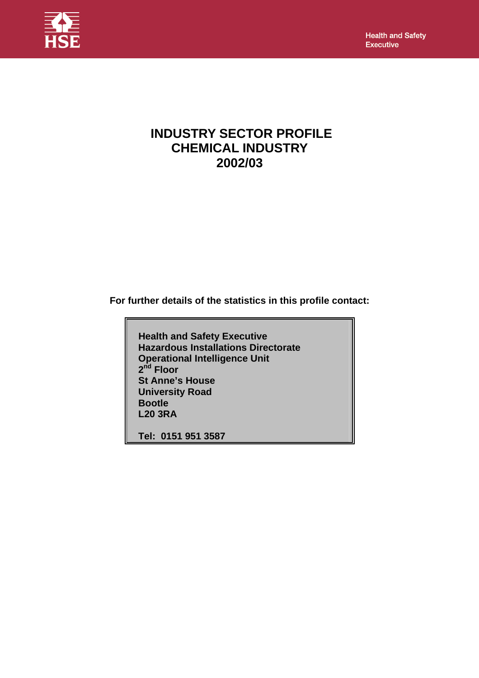**Health and Safety Executive** 



# **INDUSTRY SECTOR PROFILE CHEMICAL INDUSTRY 2002/03**

**For further details of the statistics in this profile contact:** 

 **Health and Safety Executive Hazardous Installations Directorate Operational Intelligence Unit 2<sup>nd</sup> Floor St Anne's House University Road Bootle L20 3RA** 

 **Tel: 0151 951 3587**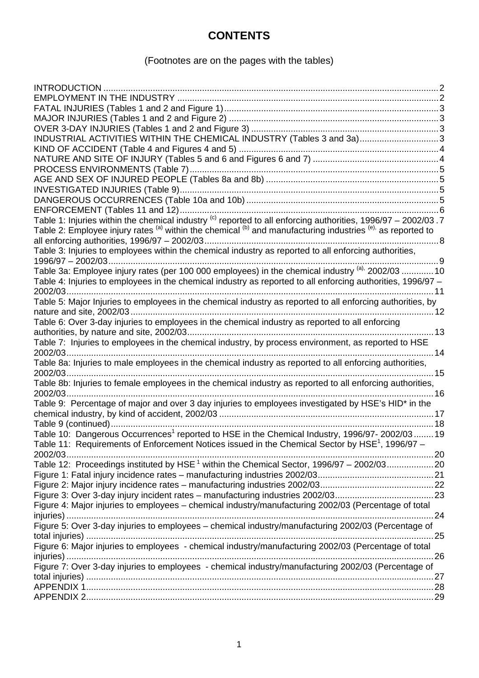# **CONTENTS**

# (Footnotes are on the pages with the tables)

| INDUSTRIAL ACTIVITIES WITHIN THE CHEMICAL INDUSTRY (Tables 3 and 3a)3                                                    |  |
|--------------------------------------------------------------------------------------------------------------------------|--|
|                                                                                                                          |  |
|                                                                                                                          |  |
|                                                                                                                          |  |
|                                                                                                                          |  |
|                                                                                                                          |  |
|                                                                                                                          |  |
|                                                                                                                          |  |
| Table 1: Injuries within the chemical industry <sup>(c)</sup> reported to all enforcing authorities, 1996/97 - 2002/03.7 |  |
| Table 2: Employee injury rates (a) within the chemical (b) and manufacturing industries (e), as reported to              |  |
|                                                                                                                          |  |
| Table 3: Injuries to employees within the chemical industry as reported to all enforcing authorities,                    |  |
| 1996/97 - 2002/03.<br>. 9                                                                                                |  |
| Table 3a: Employee injury rates (per 100 000 employees) in the chemical industry <sup>(a),</sup> 2002/03  10             |  |
| Table 4: Injuries to employees in the chemical industry as reported to all enforcing authorities, 1996/97 -              |  |
| . 11                                                                                                                     |  |
| Table 5: Major Injuries to employees in the chemical industry as reported to all enforcing authorities, by               |  |
|                                                                                                                          |  |
| Table 6: Over 3-day injuries to employees in the chemical industry as reported to all enforcing                          |  |
|                                                                                                                          |  |
| Table 7: Injuries to employees in the chemical industry, by process environment, as reported to HSE                      |  |
|                                                                                                                          |  |
| Table 8a: Injuries to male employees in the chemical industry as reported to all enforcing authorities,                  |  |
|                                                                                                                          |  |
| Table 8b: Injuries to female employees in the chemical industry as reported to all enforcing authorities,                |  |
|                                                                                                                          |  |
| Table 9: Percentage of major and over 3 day injuries to employees investigated by HSE's HID* in the                      |  |
|                                                                                                                          |  |
|                                                                                                                          |  |
| Table 10: Dangerous Occurrences <sup>1</sup> reported to HSE in the Chemical Industry, 1996/97-2002/03 19                |  |
| Table 11: Requirements of Enforcement Notices issued in the Chemical Sector by HSE <sup>1</sup> , 1996/97 -              |  |
| 2002/03.                                                                                                                 |  |
| Table 12: Proceedings instituted by HSE <sup>1</sup> within the Chemical Sector, 1996/97 - 2002/0320                     |  |
|                                                                                                                          |  |
|                                                                                                                          |  |
|                                                                                                                          |  |
| Figure 4: Major injuries to employees - chemical industry/manufacturing 2002/03 (Percentage of total                     |  |
|                                                                                                                          |  |
| Figure 5: Over 3-day injuries to employees - chemical industry/manufacturing 2002/03 (Percentage of                      |  |
|                                                                                                                          |  |
| Figure 6: Major injuries to employees - chemical industry/manufacturing 2002/03 (Percentage of total                     |  |
|                                                                                                                          |  |
| Figure 7: Over 3-day injuries to employees - chemical industry/manufacturing 2002/03 (Percentage of                      |  |
|                                                                                                                          |  |
|                                                                                                                          |  |
|                                                                                                                          |  |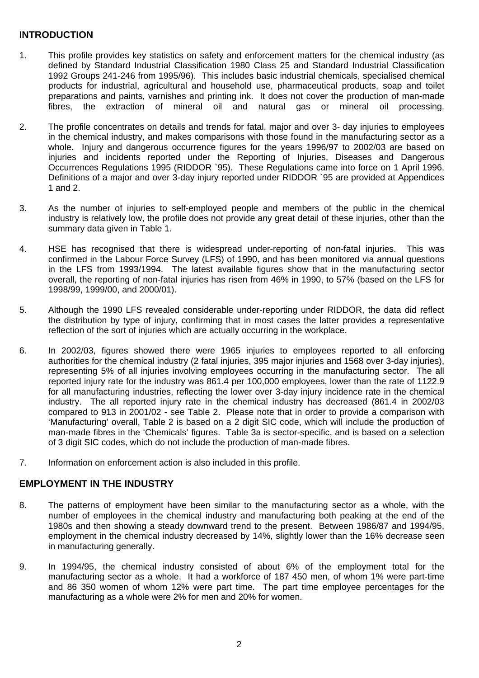# <span id="page-2-0"></span>**INTRODUCTION**

- 1. This profile provides key statistics on safety and enforcement matters for the chemical industry (as defined by Standard Industrial Classification 1980 Class 25 and Standard Industrial Classification 1992 Groups 241-246 from 1995/96). This includes basic industrial chemicals, specialised chemical products for industrial, agricultural and household use, pharmaceutical products, soap and toilet preparations and paints, varnishes and printing ink. It does not cover the production of man-made fibres, the extraction of mineral oil and natural gas or mineral oil processing.
- 2. The profile concentrates on details and trends for fatal, major and over 3- day injuries to employees in the chemical industry, and makes comparisons with those found in the manufacturing sector as a whole. Injury and dangerous occurrence figures for the years 1996/97 to 2002/03 are based on injuries and incidents reported under the Reporting of Injuries, Diseases and Dangerous Occurrences Regulations 1995 (RIDDOR `95). These Regulations came into force on 1 April 1996. Definitions of a major and over 3-day injury reported under RIDDOR `95 are provided at Appendices 1 and 2.
- 3. As the number of injuries to self-employed people and members of the public in the chemical industry is relatively low, the profile does not provide any great detail of these injuries, other than the summary data given in Table 1.
- 4. HSE has recognised that there is widespread under-reporting of non-fatal injuries. This was confirmed in the Labour Force Survey (LFS) of 1990, and has been monitored via annual questions in the LFS from 1993/1994.The latest available figures show that in the manufacturing sector overall, the reporting of non-fatal injuries has risen from 46% in 1990, to 57% (based on the LFS for 1998/99, 1999/00, and 2000/01).
- 5. Although the 1990 LFS revealed considerable under-reporting under RIDDOR, the data did reflect the distribution by type of injury, confirming that in most cases the latter provides a representative reflection of the sort of injuries which are actually occurring in the workplace.
- 6. In 2002/03, figures showed there were 1965 injuries to employees reported to all enforcing authorities for the chemical industry (2 fatal injuries, 395 major injuries and 1568 over 3-day injuries), representing 5% of all injuries involving employees occurring in the manufacturing sector. The all reported injury rate for the industry was 861.4 per 100,000 employees, lower than the rate of 1122.9 for all manufacturing industries, reflecting the lower over 3-day injury incidence rate in the chemical industry. The all reported injury rate in the chemical industry has decreased (861.4 in 2002/03 compared to 913 in 2001/02 - see Table 2.Please note that in order to provide a comparison with 'Manufacturing' overall, Table 2 is based on a 2 digit SIC code, which will include the production of man-made fibres in the 'Chemicals' figures. Table 3a is sector-specific, and is based on a selection of 3 digit SIC codes, which do not include the production of man-made fibres.
- 7. Information on enforcement action is also included in this profile.

# **EMPLOYMENT IN THE INDUSTRY**

- 8. The patterns of employment have been similar to the manufacturing sector as a whole, with the number of employees in the chemical industry and manufacturing both peaking at the end of the 1980s and then showing a steady downward trend to the present. Between 1986/87 and 1994/95, employment in the chemical industry decreased by 14%, slightly lower than the 16% decrease seen in manufacturing generally.
- 9. In 1994/95, the chemical industry consisted of about 6% of the employment total for the manufacturing sector as a whole. It had a workforce of 187 450 men, of whom 1% were part-time and 86 350 women of whom 12% were part time. The part time employee percentages for the manufacturing as a whole were 2% for men and 20% for women.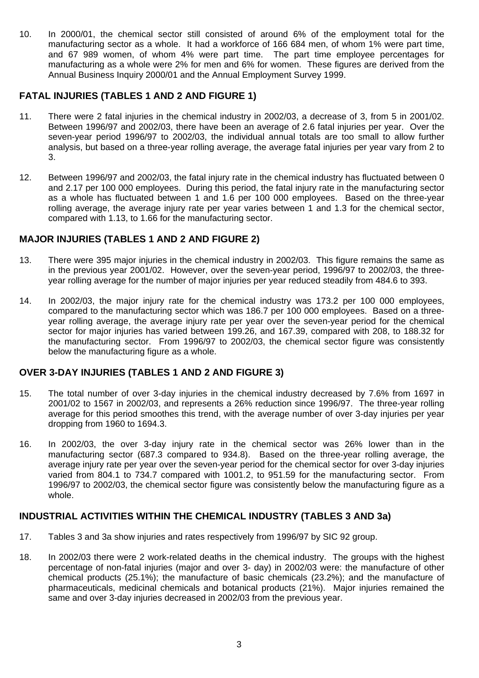<span id="page-3-0"></span>10. In 2000/01, the chemical sector still consisted of around 6% of the employment total for the manufacturing sector as a whole. It had a workforce of 166 684 men, of whom 1% were part time, and 67 989 women, of whom 4% were part time. The part time employee percentages for manufacturing as a whole were 2% for men and 6% for women. These figures are derived from the Annual Business Inquiry 2000/01 and the Annual Employment Survey 1999.

# **FATAL INJURIES (TABLES 1 AND 2 AND FIGURE 1)**

- 11. There were 2 fatal injuries in the chemical industry in 2002/03, a decrease of 3, from 5 in 2001/02. Between 1996/97 and 2002/03, there have been an average of 2.6 fatal injuries per year. Over the seven-year period 1996/97 to 2002/03, the individual annual totals are too small to allow further analysis, but based on a three-year rolling average, the average fatal injuries per year vary from 2 to 3.
- 12. Between 1996/97 and 2002/03, the fatal injury rate in the chemical industry has fluctuated between 0 and 2.17 per 100 000 employees. During this period, the fatal injury rate in the manufacturing sector as a whole has fluctuated between 1 and 1.6 per 100 000 employees. Based on the three-year rolling average, the average injury rate per year varies between 1 and 1.3 for the chemical sector, compared with 1.13, to 1.66 for the manufacturing sector.

# **MAJOR INJURIES (TABLES 1 AND 2 AND FIGURE 2)**

- 13. There were 395 major injuries in the chemical industry in 2002/03. This figure remains the same as in the previous year 2001/02. However, over the seven-year period, 1996/97 to 2002/03, the threeyear rolling average for the number of major injuries per year reduced steadily from 484.6 to 393.
- 14. In 2002/03, the major injury rate for the chemical industry was 173.2 per 100 000 employees, compared to the manufacturing sector which was 186.7 per 100 000 employees. Based on a threeyear rolling average, the average injury rate per year over the seven-year period for the chemical sector for major injuries has varied between 199.26, and 167.39, compared with 208, to 188.32 for the manufacturing sector. From 1996/97 to 2002/03, the chemical sector figure was consistently below the manufacturing figure as a whole.

# **OVER 3-DAY INJURIES (TABLES 1 AND 2 AND FIGURE 3)**

- 15. The total number of over 3-day injuries in the chemical industry decreased by 7.6% from 1697 in 2001/02 to 1567 in 2002/03, and represents a 26% reduction since 1996/97. The three-year rolling average for this period smoothes this trend, with the average number of over 3-day injuries per year dropping from 1960 to 1694.3.
- 16. In 2002/03, the over 3-day injury rate in the chemical sector was 26% lower than in the manufacturing sector (687.3 compared to 934.8). Based on the three-year rolling average, the average injury rate per year over the seven-year period for the chemical sector for over 3-day injuries varied from 804.1 to 734.7 compared with 1001.2, to 951.59 for the manufacturing sector. From 1996/97 to 2002/03, the chemical sector figure was consistently below the manufacturing figure as a whole.

# **INDUSTRIAL ACTIVITIES WITHIN THE CHEMICAL INDUSTRY (TABLES 3 AND 3a)**

- 17. Tables 3 and 3a show injuries and rates respectively from 1996/97 by SIC 92 group.
- 18. In 2002/03 there were 2 work-related deaths in the chemical industry. The groups with the highest percentage of non-fatal injuries (major and over 3- day) in 2002/03 were: the manufacture of other chemical products (25.1%); the manufacture of basic chemicals (23.2%); and the manufacture of pharmaceuticals, medicinal chemicals and botanical products (21%). Major injuries remained the same and over 3-day injuries decreased in 2002/03 from the previous year.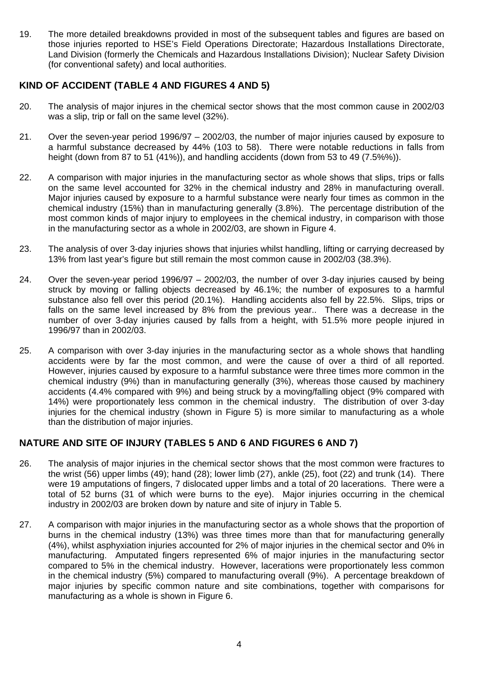<span id="page-4-0"></span>19. The more detailed breakdowns provided in most of the subsequent tables and figures are based on those injuries reported to HSE's Field Operations Directorate; Hazardous Installations Directorate, Land Division (formerly the Chemicals and Hazardous Installations Division); Nuclear Safety Division (for conventional safety) and local authorities.

# **KIND OF ACCIDENT (TABLE 4 AND FIGURES 4 AND 5)**

- 20. The analysis of major injures in the chemical sector shows that the most common cause in 2002/03 was a slip, trip or fall on the same level (32%).
- 21. Over the seven-year period 1996/97 2002/03, the number of major injuries caused by exposure to a harmful substance decreased by 44% (103 to 58). There were notable reductions in falls from height (down from 87 to 51 (41%)), and handling accidents (down from 53 to 49 (7.5%%)).
- 22. A comparison with major injuries in the manufacturing sector as whole shows that slips, trips or falls on the same level accounted for 32% in the chemical industry and 28% in manufacturing overall. Major injuries caused by exposure to a harmful substance were nearly four times as common in the chemical industry (15%) than in manufacturing generally (3.8%). The percentage distribution of the most common kinds of major injury to employees in the chemical industry, in comparison with those in the manufacturing sector as a whole in 2002/03, are shown in Figure 4.
- 23. The analysis of over 3-day injuries shows that injuries whilst handling, lifting or carrying decreased by 13% from last year's figure but still remain the most common cause in 2002/03 (38.3%).
- 24. Over the seven-year period 1996/97 2002/03, the number of over 3-day injuries caused by being struck by moving or falling objects decreased by 46.1%; the number of exposures to a harmful substance also fell over this period (20.1%). Handling accidents also fell by 22.5%. Slips, trips or falls on the same level increased by 8% from the previous year.. There was a decrease in the number of over 3-day injuries caused by falls from a height, with 51.5% more people injured in 1996/97 than in 2002/03.
- 25. A comparison with over 3-day injuries in the manufacturing sector as a whole shows that handling accidents were by far the most common, and were the cause of over a third of all reported. However, injuries caused by exposure to a harmful substance were three times more common in the chemical industry (9%) than in manufacturing generally (3%), whereas those caused by machinery accidents (4.4% compared with 9%) and being struck by a moving/falling object (9% compared with 14%) were proportionately less common in the chemical industry. The distribution of over 3-day injuries for the chemical industry (shown in Figure 5) is more similar to manufacturing as a whole than the distribution of major injuries.

# **NATURE AND SITE OF INJURY (TABLES 5 AND 6 AND FIGURES 6 AND 7)**

- 26. The analysis of major injuries in the chemical sector shows that the most common were fractures to the wrist (56) upper limbs (49); hand (28); lower limb (27), ankle (25), foot (22) and trunk (14). There were 19 amputations of fingers, 7 dislocated upper limbs and a total of 20 lacerations. There were a total of 52 burns (31 of which were burns to the eye). Major injuries occurring in the chemical industry in 2002/03 are broken down by nature and site of injury in Table 5.
- 27. A comparison with major injuries in the manufacturing sector as a whole shows that the proportion of burns in the chemical industry (13%) was three times more than that for manufacturing generally (4%), whilst asphyxiation injuries accounted for 2% of major injuries in the chemical sector and 0% in manufacturing. Amputated fingers represented 6% of major injuries in the manufacturing sector compared to 5% in the chemical industry. However, lacerations were proportionately less common in the chemical industry (5%) compared to manufacturing overall (9%). A percentage breakdown of major injuries by specific common nature and site combinations, together with comparisons for manufacturing as a whole is shown in Figure 6.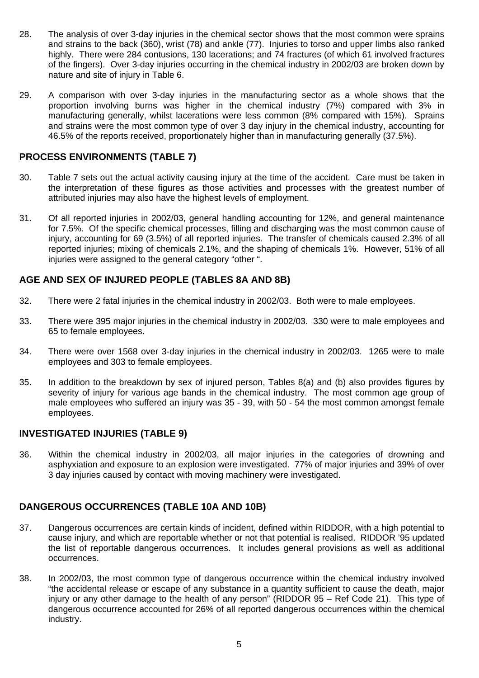- <span id="page-5-0"></span>28. The analysis of over 3-day injuries in the chemical sector shows that the most common were sprains and strains to the back (360), wrist (78) and ankle (77). Injuries to torso and upper limbs also ranked highly. There were 284 contusions, 130 lacerations; and 74 fractures (of which 61 involved fractures of the fingers). Over 3-day injuries occurring in the chemical industry in 2002/03 are broken down by nature and site of injury in Table 6.
- 29. A comparison with over 3-day injuries in the manufacturing sector as a whole shows that the proportion involving burns was higher in the chemical industry (7%) compared with 3% in manufacturing generally, whilst lacerations were less common (8% compared with 15%). Sprains and strains were the most common type of over 3 day injury in the chemical industry, accounting for 46.5% of the reports received, proportionately higher than in manufacturing generally (37.5%).

# **PROCESS ENVIRONMENTS (TABLE 7)**

- 30. Table 7 sets out the actual activity causing injury at the time of the accident. Care must be taken in the interpretation of these figures as those activities and processes with the greatest number of attributed injuries may also have the highest levels of employment.
- 31. Of all reported injuries in 2002/03, general handling accounting for 12%, and general maintenance for 7.5%. Of the specific chemical processes, filling and discharging was the most common cause of injury, accounting for 69 (3.5%) of all reported injuries. The transfer of chemicals caused 2.3% of all reported injuries; mixing of chemicals 2.1%, and the shaping of chemicals 1%. However, 51% of all injuries were assigned to the general category "other ".

# **AGE AND SEX OF INJURED PEOPLE (TABLES 8A AND 8B)**

- 32. There were 2 fatal injuries in the chemical industry in 2002/03. Both were to male employees.
- 33. There were 395 major injuries in the chemical industry in 2002/03. 330 were to male employees and 65 to female employees.
- 34. There were over 1568 over 3-day injuries in the chemical industry in 2002/03. 1265 were to male employees and 303 to female employees.
- 35. In addition to the breakdown by sex of injured person, Tables 8(a) and (b) also provides figures by severity of injury for various age bands in the chemical industry. The most common age group of male employees who suffered an injury was 35 - 39, with 50 - 54 the most common amongst female employees.

# **INVESTIGATED INJURIES (TABLE 9)**

36. Within the chemical industry in 2002/03, all major injuries in the categories of drowning and asphyxiation and exposure to an explosion were investigated. 77% of major injuries and 39% of over 3 day injuries caused by contact with moving machinery were investigated.

# **DANGEROUS OCCURRENCES (TABLE 10A AND 10B)**

- 37. Dangerous occurrences are certain kinds of incident, defined within RIDDOR, with a high potential to cause injury, and which are reportable whether or not that potential is realised. RIDDOR '95 updated the list of reportable dangerous occurrences. It includes general provisions as well as additional occurrences.
- 38. In 2002/03, the most common type of dangerous occurrence within the chemical industry involved "the accidental release or escape of any substance in a quantity sufficient to cause the death, major injury or any other damage to the health of any person" (RIDDOR 95 – Ref Code 21). This type of dangerous occurrence accounted for 26% of all reported dangerous occurrences within the chemical industry.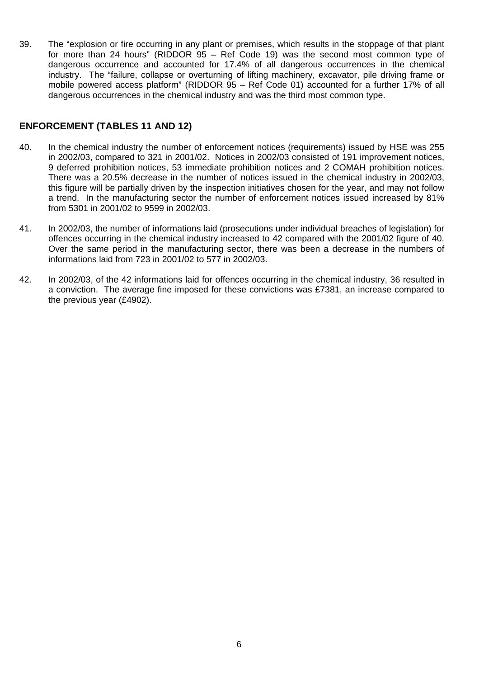<span id="page-6-0"></span>39. The "explosion or fire occurring in any plant or premises, which results in the stoppage of that plant for more than 24 hours" (RIDDOR 95 – Ref Code 19) was the second most common type of dangerous occurrence and accounted for 17.4% of all dangerous occurrences in the chemical industry. The "failure, collapse or overturning of lifting machinery, excavator, pile driving frame or mobile powered access platform" (RIDDOR 95 – Ref Code 01) accounted for a further 17% of all dangerous occurrences in the chemical industry and was the third most common type.

# **ENFORCEMENT (TABLES 11 AND 12)**

- 40. In the chemical industry the number of enforcement notices (requirements) issued by HSE was 255 in 2002/03, compared to 321 in 2001/02. Notices in 2002/03 consisted of 191 improvement notices, 9 deferred prohibition notices, 53 immediate prohibition notices and 2 COMAH prohibition notices. There was a 20.5% decrease in the number of notices issued in the chemical industry in 2002/03, this figure will be partially driven by the inspection initiatives chosen for the year, and may not follow a trend. In the manufacturing sector the number of enforcement notices issued increased by 81% from 5301 in 2001/02 to 9599 in 2002/03.
- 41. In 2002/03, the number of informations laid (prosecutions under individual breaches of legislation) for offences occurring in the chemical industry increased to 42 compared with the 2001/02 figure of 40. Over the same period in the manufacturing sector, there was been a decrease in the numbers of informations laid from 723 in 2001/02 to 577 in 2002/03.
- 42. In 2002/03, of the 42 informations laid for offences occurring in the chemical industry, 36 resulted in a conviction. The average fine imposed for these convictions was £7381, an increase compared to the previous year (£4902).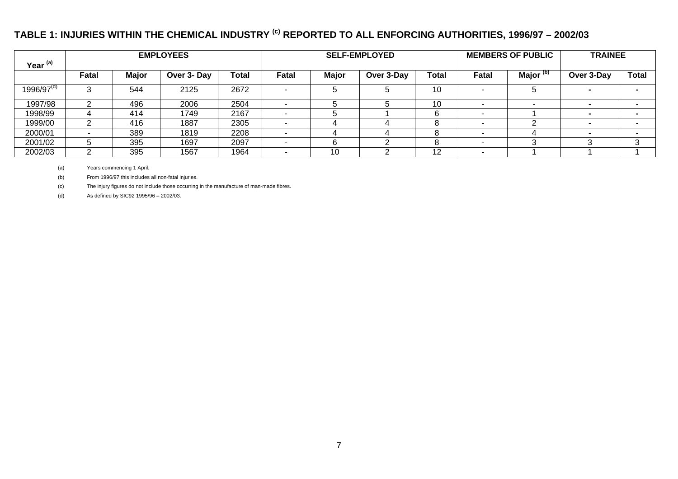# **TABLE 1: INJURIES WITHIN THE CHEMICAL INDUSTRY (c) REPORTED TO ALL ENFORCING AUTHORITIES, 1996/97 – 2002/03**

|                     |                          |              | <b>EMPLOYEES</b> |       |       |              | <b>SELF-EMPLOYED</b> |              |       | <b>MEMBERS OF PUBLIC</b> | <b>TRAINEE</b> |              |  |
|---------------------|--------------------------|--------------|------------------|-------|-------|--------------|----------------------|--------------|-------|--------------------------|----------------|--------------|--|
| Year <sup>(a)</sup> |                          |              |                  |       |       |              |                      |              |       |                          |                |              |  |
|                     | Fatal                    | <b>Major</b> | Over 3- Day      | Total | Fatal | <b>Major</b> | Over 3-Day           | <b>Total</b> | Fatal | Major <sup>(b)</sup>     | Over 3-Day     | <b>Total</b> |  |
| $1996/97^{(d)}$     | ົ                        | 544          | 2125             | 2672  |       |              |                      | 10           |       |                          |                |              |  |
| 1997/98             | ົ                        | 496          | 2006             | 2504  | . .   |              |                      | 10           |       |                          |                |              |  |
| 1998/99             | 4                        | 414          | 1749             | 2167  | . .   |              |                      | 6            | -     |                          |                |              |  |
| 1999/00             | ◠                        | 416          | 1887             | 2305  |       |              |                      | 8            |       |                          |                |              |  |
| 2000/01             | $\overline{\phantom{a}}$ | 389          | 1819             | 2208  | . .   |              |                      |              | -     |                          |                |              |  |
| 2001/02             | 5                        | 395          | 1697             | 2097  |       |              |                      |              |       |                          |                | ົ            |  |
| 2002/03             | ◠                        | 395          | 1567             | 1964  |       | 10           |                      | 12           |       |                          |                |              |  |

(a) Years commencing 1 April.

(b) From 1996/97 this includes all non-fatal injuries.

(c) The injury figures do not include those occurring in the manufacture of man-made fibres.

<span id="page-7-0"></span>(d) As defined by SIC92 1995/96 – 2002/03.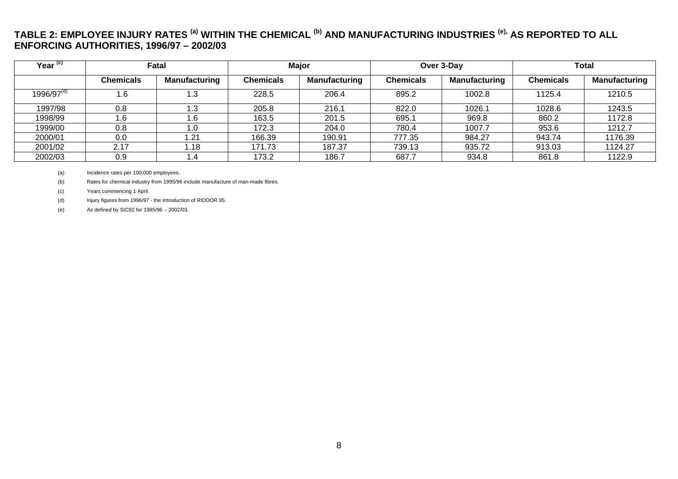# **TABLE 2: EMPLOYEE INJURY RATES (a) WITHIN THE CHEMICAL (b) AND MANUFACTURING INDUSTRIES (e), AS REPORTED TO ALL ENFORCING AUTHORITIES, 1996/97 – 2002/03**

| Year <sup>(c)</sup>   |                  | Fatal                |                  | <b>Major</b>  |           | Over 3-Day           | <b>Total</b>     |                      |  |  |
|-----------------------|------------------|----------------------|------------------|---------------|-----------|----------------------|------------------|----------------------|--|--|
|                       | <b>Chemicals</b> | <b>Manufacturing</b> | <b>Chemicals</b> | Manufacturing | Chemicals | <b>Manufacturing</b> | <b>Chemicals</b> | <b>Manufacturing</b> |  |  |
| $1996\sqrt{97}^{(d)}$ | .6               | I .3                 | 228.5            | 206.4         | 895.2     | 1002.8               | 1125.4           | 1210.5               |  |  |
| 1997/98               | 0.8              | l .3                 | 205.8            | 216.1         | 822.0     | 1026.1               | 1028.6           | 1243.5               |  |  |
| 1998/99               | 1.6              | l.6                  | 163.5            | 201.5         | 695.1     | 969.8                | 860.2            | 1172.8               |  |  |
| 1999/00               | 0.8              | IJ.                  | 172.3            | 204.0         | 780.4     | 1007.7               | 953.6            | 1212.7               |  |  |
| 2000/01               | 0.0              | .21                  | 166.39           | 190.91        | 777.35    | 984.27               | 943.74           | 1176.39              |  |  |
| 2001/02               | 2.17             | ∣.18                 | 171.73           | 187.37        | 739.13    | 935.72               | 913.03           | 1124.27              |  |  |
| 2002/03               | 0.9              | ۰. ۱                 | 173.2            | 186.7         | 687.7     | 934.8                | 861.8            | 1122.9               |  |  |

(a) Incidence rates per 100,000 employees.

(b) Rates for chemical industry from 1995/96 include manufacture of man-made fibres.

(c) Years commencing 1 April.

(d) Injury figures from 1996/97 - the introduction of RIDDOR 95.

<span id="page-8-0"></span>(e) As defined by SIC92 for 1995/96 – 2002/03.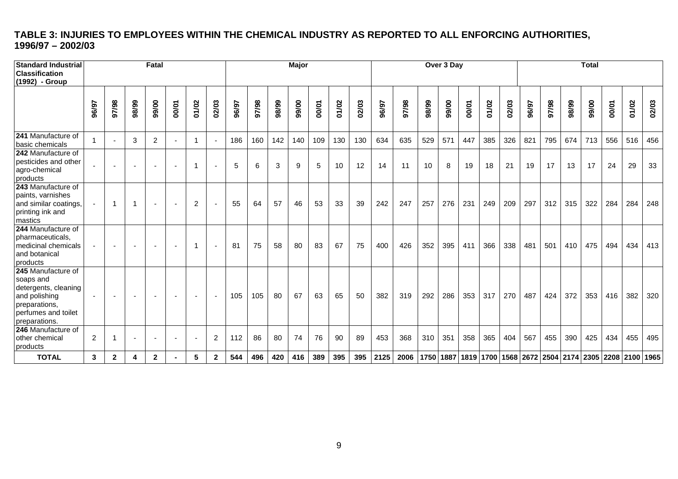# **TABLE 3: INJURIES TO EMPLOYEES WITHIN THE CHEMICAL INDUSTRY AS REPORTED TO ALL ENFORCING AUTHORITIES, 1996/97 – 2002/03**

<span id="page-9-0"></span>

| <b>Standard Industrial</b><br>Classification<br>(1992) - Group                                                                    |              |                          |                          | Fatal                    |                          |                |                          |       |       |       | Major |       |       |       |       |                                                                                          |       | Over 3 Day |       |       |       |       |       |       | <b>Total</b> |       |       |       |
|-----------------------------------------------------------------------------------------------------------------------------------|--------------|--------------------------|--------------------------|--------------------------|--------------------------|----------------|--------------------------|-------|-------|-------|-------|-------|-------|-------|-------|------------------------------------------------------------------------------------------|-------|------------|-------|-------|-------|-------|-------|-------|--------------|-------|-------|-------|
|                                                                                                                                   | 96/97        | 86/16                    | 98/99                    | 99/00                    | 00/01                    | 01/02          | 02/03                    | 96/97 | 97/98 | 98/99 | 99/00 | 00/01 | 01/02 | 02/03 | 96/97 | 86/26                                                                                    | 98/99 | 99/00      | 00/01 | 01/02 | 02/03 | 96/97 | 97/98 | 98/99 | 99/00        | 00/01 | 01/02 | 02/03 |
| 241 Manufacture of<br>basic chemicals                                                                                             | $\mathbf{1}$ | $\overline{\phantom{a}}$ | 3                        | $\overline{2}$           |                          | $\overline{1}$ | $\overline{\phantom{a}}$ | 186   | 160   | 142   | 140   | 109   | 130   | 130   | 634   | 635                                                                                      | 529   | 571        | 447   | 385   | 326   | 821   | 795   | 674   | 713          | 556   | 516   | 456   |
| 242 Manufacture of<br>pesticides and other<br>agro-chemical<br>products                                                           |              |                          |                          |                          |                          | -1             | $\overline{\phantom{a}}$ | 5     | 6     | 3     | 9     | 5     | 10    | 12    | 14    | 11                                                                                       | 10    | 8          | 19    | 18    | 21    | 19    | 17    | 13    | 17           | 24    | 29    | 33    |
| 243 Manufacture of<br>paints, varnishes<br>and similar coatings,<br>printing ink and<br>mastics                                   |              |                          |                          | $\overline{\phantom{a}}$ | $\overline{\phantom{a}}$ | $\overline{2}$ | ÷,                       | 55    | 64    | 57    | 46    | 53    | 33    | 39    | 242   | 247                                                                                      | 257   | 276        | 231   | 249   | 209   | 297   | 312   | 315   | 322          | 284   | 284   | 248   |
| 244 Manufacture of<br>pharmaceuticals,<br>medicinal chemicals<br>and botanical<br>products                                        |              |                          | $\overline{\phantom{a}}$ |                          | $\overline{\phantom{a}}$ | -1             | $\overline{\phantom{a}}$ | 81    | 75    | 58    | 80    | 83    | 67    | 75    | 400   | 426                                                                                      | 352   | 395        | 411   | 366   | 338   | 481   | 501   | 410   | 475          | 494   | 434   | 413   |
| 245 Manufacture of<br>soaps and<br>detergents, cleaning<br>and polishing<br>preparations,<br>perfumes and toilet<br>preparations. |              |                          | $\sim$                   | $\overline{\phantom{a}}$ | $\overline{\phantom{a}}$ | $\sim$         | $\blacksquare$           | 105   | 105   | 80    | 67    | 63    | 65    | 50    | 382   | 319                                                                                      | 292   | 286        | 353   | 317   | 270   | 487   | 424   | 372   | 353          | 416   | 382   | 320   |
| 246 Manufacture of<br>other chemical<br>products                                                                                  | 2            |                          | $\overline{\phantom{a}}$ | $\overline{\phantom{a}}$ | $\blacksquare$           |                | 2                        | 112   | 86    | 80    | 74    | 76    | 90    | 89    | 453   | 368                                                                                      | 310   | 351        | 358   | 365   | 404   | 567   | 455   | 390   | 425          | 434   | 455   | 495   |
| <b>TOTAL</b>                                                                                                                      | 3            | $\mathbf 2$              | 4                        | $\overline{2}$           |                          | 5              | $\mathbf 2$              | 544   | 496   | 420   | 416   | 389   | 395   | 395   | 2125  | 2006   1750   1887   1819   1700   1568   2672   2504   2174   2305   2208   2100   1965 |       |            |       |       |       |       |       |       |              |       |       |       |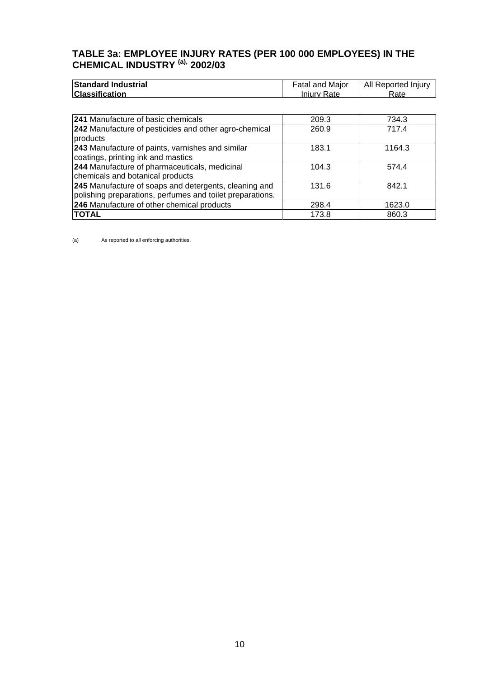# <span id="page-10-0"></span>**TABLE 3a: EMPLOYEE INJURY RATES (PER 100 000 EMPLOYEES) IN THE CHEMICAL INDUSTRY (a), 2002/03**

| <b>Standard Industrial</b> | Fatal and Major | All Reported Injury |
|----------------------------|-----------------|---------------------|
| <b>Classification</b>      | Iniury Rate     | Rate                |

| 241 Manufacture of basic chemicals                        | 209.3 | 734.3  |
|-----------------------------------------------------------|-------|--------|
| 242 Manufacture of pesticides and other agro-chemical     | 260.9 | 717.4  |
| products                                                  |       |        |
| 243 Manufacture of paints, varnishes and similar          | 183.1 | 1164.3 |
| coatings, printing ink and mastics                        |       |        |
| 244 Manufacture of pharmaceuticals, medicinal             | 104.3 | 574.4  |
| chemicals and botanical products                          |       |        |
| 245 Manufacture of soaps and detergents, cleaning and     | 131.6 | 842.1  |
| polishing preparations, perfumes and toilet preparations. |       |        |
| 246 Manufacture of other chemical products                | 298.4 | 1623.0 |
| <b>TOTAL</b>                                              | 173.8 | 860.3  |

(a) As reported to all enforcing authorities.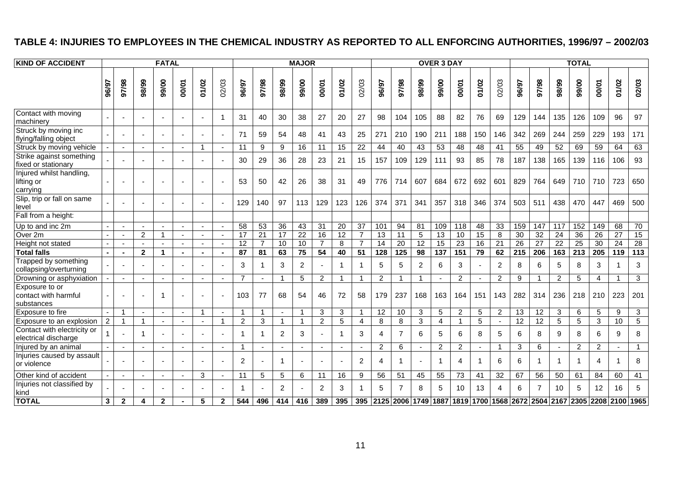# **TABLE 4: INJURIES TO EMPLOYEES IN THE CHEMICAL INDUSTRY AS REPORTED TO ALL ENFORCING AUTHORITIES, 1996/97 – 2002/03**

<span id="page-11-0"></span>

| <b>KIND OF ACCIDENT</b>                              |                |                          |                          | <b>FATAL</b>             |        |                          |                          |                |                 |                         | <b>MAJOR</b>    |                          |                 |                |                 |                                                            |                 | <b>OVER 3 DAY</b> |                         |       |                |                 |                 |                          | <b>TOTAL</b>    |                 |                 |                 |
|------------------------------------------------------|----------------|--------------------------|--------------------------|--------------------------|--------|--------------------------|--------------------------|----------------|-----------------|-------------------------|-----------------|--------------------------|-----------------|----------------|-----------------|------------------------------------------------------------|-----------------|-------------------|-------------------------|-------|----------------|-----------------|-----------------|--------------------------|-----------------|-----------------|-----------------|-----------------|
|                                                      | 96/97          | 86/16                    | 98/99                    | 99/00                    | 00/01  | 01/02                    | 02/03                    | 96/97          | 86/26           | 98/99                   | 99/00           | 00/01                    | 01/02           | 02/03          | 96/97           | 86/26                                                      | 98/99           | 99/00             | 00/01                   | 01/02 | 02/03          | 96/97           | 86/26           | 98/99                    | 99/00           | 00/01           | 01/02           | 02/03           |
| Contact with moving<br>machinery                     |                |                          | $\blacksquare$           |                          |        | $\blacksquare$           | -1                       | 31             | 40              | 30                      | 38              | 27                       | 20              | 27             | 98              | 104                                                        | 105             | 88                | 82                      | 76    | 69             | 129             | 144             | 135                      | 126             | 109             | 96              | 97              |
| Struck by moving inc<br>flying/falling object        |                |                          | $\blacksquare$           |                          |        | $\overline{\phantom{a}}$ | $\blacksquare$           | 71             | 59              | 54                      | 48              | 41                       | 43              | 25             | 271             | 210                                                        | 190             | 211               | 188                     | 150   | 146            | 342             | 269             | 244                      | 259             | 229             | 193             | 171             |
| Struck by moving vehicle                             |                | $\sim$                   | $\sim$                   | $\sim$                   | $\sim$ | $\overline{1}$           | $\overline{\phantom{a}}$ | 11             | 9               | 9                       | 16              | 11                       | 15              | 22             | 44              | 40                                                         | 43              | 53                | 48                      | 48    | 41             | 55              | 49              | 52                       | 69              | 59              | 64              | 63              |
| Strike against something<br>fixed or stationary      |                |                          |                          |                          |        | $\sim$                   |                          | 30             | 29              | 36                      | 28              | 23                       | 21              | 15             | 157             | 109                                                        | 129             | 111               | 93                      | 85    | 78             | 187             | 138             | 165                      | 139             | 116             | 106             | 93              |
| Injured whilst handling,<br>lifting or<br>carrying   |                |                          |                          |                          |        | $\blacksquare$           |                          | 53             | 50              | 42                      | 26              | 38                       | 31              | 49             | 776             | 714                                                        | 607             | 684               | 672                     | 692   | 601            | 829             | 764             | 649                      | 710             | 710             | 723             | 650             |
| Slip, trip or fall on same<br>level                  |                |                          |                          |                          |        | $\overline{\phantom{a}}$ |                          | 129            | 140             | 97                      | 113             | 129                      | 123             | 126            | 374             | 371                                                        | 341             | 357               | 318                     | 346   | 374            | 503             | 511             | 438                      | 470             | 447             | 469             | 500             |
| Fall from a height:                                  |                |                          |                          |                          |        |                          |                          |                |                 |                         |                 |                          |                 |                |                 |                                                            |                 |                   |                         |       |                |                 |                 |                          |                 |                 |                 |                 |
| Up to and inc 2m                                     |                | $\sim$                   | $\overline{a}$           |                          |        | $\blacksquare$           | $\sim$                   | 58             | 53              | $\overline{36}$         | 43              | 31                       | $\overline{20}$ | 37             | 101             | 94                                                         | 81              | 109               | $\overline{118}$        | 48    | 33             | 159             | 147             | 117                      | 152             | 149             | 68              | 70              |
| Over 2m                                              |                | $\overline{\phantom{a}}$ | 2                        | -1                       |        | $\sim$                   | $\overline{\phantom{a}}$ | 17             | $\overline{21}$ | 17                      | $\overline{22}$ | $\overline{16}$          | $\overline{12}$ | $\overline{7}$ | $\overline{13}$ | 11                                                         | 5               | 13                | 10                      | 15    | 8              | $\overline{30}$ | $\overline{32}$ | $\overline{24}$          | $\overline{36}$ | $\overline{26}$ | $\overline{27}$ | 15              |
| Height not stated                                    |                |                          | $\sim$                   | $\sim$                   |        | $\sim$                   | $\sim$                   | 12             | $\overline{7}$  | 10                      | 10              | $\overline{7}$           | 8               | 7              | 14              | 20                                                         | $\overline{12}$ | 15                | 23                      | 16    | 21             | $\overline{26}$ | $\overline{27}$ | $\overline{22}$          | $\overline{25}$ | 30              | $\overline{24}$ | $\overline{28}$ |
| <b>Total falls</b>                                   |                |                          | $\overline{2}$           | $\overline{\phantom{a}}$ |        | $\sim$                   | $\blacksquare$           | 87             | 81              | 63                      | 75              | 54                       | 40              | 51             | 128             | 125                                                        | 98              | 137               | 151                     | 79    | 62             | 215             | 206             | 163                      | 213             | 205             | 119             | 113             |
| Trapped by something<br>collapsing/overturning       |                |                          |                          |                          |        | $\blacksquare$           |                          | 3              | -1              | 3                       | $\overline{2}$  | $\overline{a}$           | $\mathbf{1}$    | -1             | 5               | 5                                                          | $\overline{2}$  | 6                 | 3                       |       | $\overline{2}$ | 8               | 6               | 5                        | 8               | 3               | 1               | 3               |
| Drowning or asphyxiation                             |                |                          | $\overline{a}$           |                          |        | $\sim$                   |                          | $\overline{7}$ | $\sim$          | 1                       | 5               | $\overline{2}$           | 1               | -1             | 2               | $\overline{\phantom{a}}$                                   | 1               | $\sim$            | 2                       |       | 2              | 9               | 1               | 2                        | 5               | 4               |                 | 3               |
| Exposure to or<br>contact with harmful<br>substances |                |                          |                          | $\overline{1}$           |        | $\overline{a}$           |                          | 103            | 77              | 68                      | 54              | 46                       | 72              | 58             | 179             | 237                                                        | 168             | 163               | 164                     | 151   | 143            | 282             | 314             | 236                      | 218             | 210             | 223             | 201             |
| Exposure to fire                                     |                | -1                       | $\sim$                   | $\blacksquare$           |        | $\mathbf{1}$             | $\blacksquare$           | $\mathbf{1}$   | $\overline{1}$  | $\blacksquare$          | -1              | 3                        | 3               | $\overline{1}$ | $\overline{12}$ | 10                                                         | 3               | 5                 | $\overline{2}$          | 5     | $\overline{2}$ | 13              | 12              | 3                        | 6               | 5               | 9               | $\mathbf{3}$    |
| Exposure to an explosion                             | $\overline{2}$ |                          | $\overline{1}$           |                          |        | $\omega$                 | $\overline{1}$           | 2              | 3               | $\overline{\mathbf{1}}$ |                 | 2                        | 5               | 4              | 8               | 8                                                          | 3               | 4                 | $\overline{\mathbf{1}}$ | 5     |                | $\overline{12}$ | 12              | 5                        | 5               | 3               | 10              | 5               |
| Contact with electricity or<br>electrical discharge  |                |                          | $\overline{1}$           |                          |        | $\sim$                   |                          |                | -1              | $\overline{2}$          | 3               | $\overline{a}$           | 1               | 3              | $\overline{4}$  | $\overline{7}$                                             | 6               | 5                 | 6                       | 8     | 5              | 6               | 8               | 9                        | 8               | 6               | 9               | 8               |
| Injured by an animal                                 |                |                          | $\blacksquare$           |                          |        | $\blacksquare$           |                          |                | $\blacksquare$  |                         |                 | $\overline{\phantom{a}}$ |                 |                | 2               | 6                                                          |                 | $\overline{2}$    | $\overline{2}$          |       | -1             | 3               | 6               | $\overline{\phantom{a}}$ | $\overline{2}$  | $\overline{c}$  |                 | $\overline{1}$  |
| Injuries caused by assault<br>or violence            |                |                          |                          |                          |        | $\overline{a}$           |                          | $\overline{2}$ | $\sim$          | 1                       |                 | $\sim$                   |                 | 2              | $\overline{4}$  |                                                            |                 | $\overline{1}$    | 4                       |       | 6              | 6               | 1               | 1                        |                 | 4               | 1               | 8               |
| Other kind of accident                               |                | $\sim$                   | $\overline{\phantom{a}}$ | $\overline{\phantom{a}}$ |        | 3                        | $\overline{\phantom{a}}$ | 11             | 5               | 5                       | 6               | 11                       | 16              | 9              | 56              | 51                                                         | 45              | 55                | 73                      | 41    | 32             | 67              | 56              | 50                       | 61              | 84              | 60              | 41              |
| Injuries not classified by<br>kind                   |                |                          |                          |                          |        |                          |                          |                |                 | $\overline{c}$          |                 | $\overline{2}$           | 3               |                | 5               | $\overline{7}$                                             | 8               | 5                 | 10                      | 13    | 4              | 6               |                 | 10                       | 5               | 12              | 16              | 5               |
| <b>TOTAL</b>                                         | $\mathbf{3}$   | $\mathbf{2}$             | 4                        | $\overline{2}$           |        | 5                        | $\mathbf{2}$             | 544            | 496             | 414                     | 416             | 389                      | 395             |                |                 | 395 2125 2006 1749 1887 1819 1700 1568 2672 2504 2167 2305 |                 |                   |                         |       |                |                 |                 |                          |                 |                 | 2208 2100       | 1965            |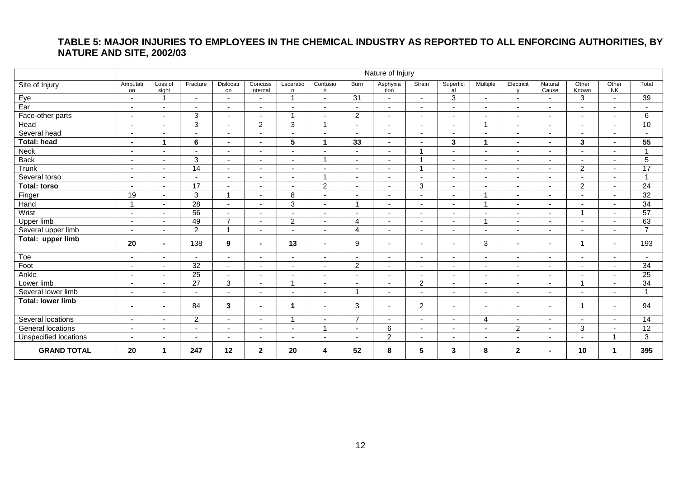# **TABLE 5: MAJOR INJURIES TO EMPLOYEES IN THE CHEMICAL INDUSTRY AS REPORTED TO ALL ENFORCING AUTHORITIES, BY NATURE AND SITE, 2002/03**

<span id="page-12-0"></span>

|                          | Nature of Injury         |                          |                          |                          |                          |                          |                          |                          |                          |                          |                          |                          |                            |                          |                          |                          |                 |
|--------------------------|--------------------------|--------------------------|--------------------------|--------------------------|--------------------------|--------------------------|--------------------------|--------------------------|--------------------------|--------------------------|--------------------------|--------------------------|----------------------------|--------------------------|--------------------------|--------------------------|-----------------|
| Site of Injury           | Amputati<br>on           | Loss of<br>sight         | Fracture                 | Dislocati<br>on          | Concuss<br>Internal      | Laceratio<br>n           | Contusio<br>n            | Burn                     | Asphyxia<br>tion         | Strain                   | Superfici<br>al          | Multiple                 | Electricit<br>$\mathbf{v}$ | Natural<br>Cause         | Other<br>Known           | Other<br><b>NK</b>       | Total           |
| Eye                      | $\overline{\phantom{a}}$ | $\overline{1}$           | $\overline{\phantom{a}}$ | $\overline{\phantom{a}}$ | $\overline{\phantom{a}}$ |                          | $\overline{\phantom{a}}$ | 31                       | $\sim$                   | ٠                        | $\sqrt{3}$               | $\overline{\phantom{a}}$ | $\sim$                     | $\overline{\phantom{a}}$ | 3                        | $\sim$                   | 39              |
| Ear                      | $\blacksquare$           | $\overline{\phantom{a}}$ | $\blacksquare$           | $\overline{\phantom{a}}$ | $\overline{\phantom{a}}$ |                          |                          | $\overline{\phantom{a}}$ | $\blacksquare$           | $\overline{\phantom{a}}$ | $\blacksquare$           | $\blacksquare$           | $\blacksquare$             | $\blacksquare$           |                          | $\sim$                   |                 |
| Face-other parts         | $\blacksquare$           | $\blacksquare$           | 3                        | $\overline{\phantom{a}}$ | $\sim$                   |                          | $\overline{\phantom{a}}$ | $\overline{2}$           | $\sim$                   | $\blacksquare$           | $\overline{\phantom{a}}$ | $\blacksquare$           | $\overline{\phantom{a}}$   | $\overline{\phantom{a}}$ |                          | $\sim$                   | 6               |
| Head                     | ٠                        | $\blacksquare$           | 3                        | $\blacksquare$           | $\overline{c}$           | 3                        | -1                       |                          | $\blacksquare$           | $\blacksquare$           | $\blacksquare$           | $\overline{1}$           | $\blacksquare$             | $\blacksquare$           |                          |                          | 10              |
| Several head             | $\blacksquare$           | $\overline{\phantom{a}}$ | $\blacksquare$           | $\overline{\phantom{a}}$ | $\overline{\phantom{a}}$ | $\overline{\phantom{a}}$ | $\overline{\phantom{a}}$ | $\blacksquare$           | $\sim$                   | ٠                        | $\overline{\phantom{a}}$ | $\blacksquare$           | $\overline{\phantom{a}}$   | $\overline{\phantom{a}}$ |                          | $\overline{\phantom{a}}$ |                 |
| <b>Total: head</b>       | $\overline{\phantom{0}}$ | $\blacktriangleleft$     | 6                        | $\blacksquare$           | $\sim$                   | $\overline{5}$           | 1                        | 33                       | $\blacksquare$           | $\blacksquare$           | 3                        | $\blacktriangleleft$     | $\blacksquare$             | $\blacksquare$           | 3                        | $\blacksquare$           | 55              |
| Neck                     | $\blacksquare$           | $\blacksquare$           | $\blacksquare$           | $\blacksquare$           | $\overline{\phantom{a}}$ | $\overline{\phantom{a}}$ | $\blacksquare$           | $\blacksquare$           | $\blacksquare$           |                          | $\blacksquare$           | $\blacksquare$           | $\overline{\phantom{a}}$   | $\overline{\phantom{a}}$ |                          | $\overline{\phantom{a}}$ | 1               |
| <b>Back</b>              | $\blacksquare$           | $\blacksquare$           | 3                        | $\overline{\phantom{a}}$ | $\overline{a}$           | $\overline{\phantom{a}}$ | $\overline{1}$           | $\blacksquare$           | $\blacksquare$           | и                        | $\blacksquare$           | $\blacksquare$           | $\blacksquare$             | $\blacksquare$           |                          |                          | 5               |
| Trunk                    | $\blacksquare$           | $\blacksquare$           | 14                       | $\overline{\phantom{a}}$ | $\sim$                   | $\overline{\phantom{a}}$ | $\overline{\phantom{a}}$ | $\blacksquare$           | $\sim$                   |                          | $\blacksquare$           | $\overline{\phantom{a}}$ | $\sim$                     | $\overline{\phantom{a}}$ | $\overline{2}$           | $\overline{\phantom{a}}$ | 17              |
| Several torso            | ÷.                       | $\blacksquare$           | $\overline{a}$           | $\sim$                   | $\sim$                   | $\overline{\phantom{a}}$ | $\overline{ }$           | $\overline{\phantom{a}}$ | $\sim$                   |                          | ٠                        | $\overline{\phantom{a}}$ | $\overline{\phantom{a}}$   |                          |                          |                          | $\overline{ }$  |
| <b>Total: torso</b>      | $\blacksquare$           | $\blacksquare$           | 17                       | $\overline{\phantom{a}}$ | $\sim$                   | $\overline{\phantom{a}}$ | $\boldsymbol{2}$         | $\overline{\phantom{a}}$ | $\sim$                   | 3                        | $\blacksquare$           | $\blacksquare$           | $\overline{\phantom{a}}$   | $\overline{\phantom{a}}$ | $\boldsymbol{2}$         | $\sim$                   | 24              |
| Finger                   | 19                       | $\overline{a}$           | 3                        | $\overline{ }$           | $\sim$                   | 8                        | $\sim$                   | $\overline{\phantom{a}}$ | $\overline{a}$           | $\overline{a}$           | $\sim$                   | $\overline{A}$           | $\blacksquare$             | $\sim$                   |                          | $\sim$                   | 32              |
| Hand                     |                          | $\blacksquare$           | 28                       | $\sim$                   | $\sim$                   | 3                        | $\sim$                   | $\overline{ }$           | $\sim$                   | $\sim$                   | $\sim$                   | $\overline{ }$           | $\blacksquare$             | $\sim$                   | $\sim$                   | $\sim$                   | 34              |
| Wrist                    | $\overline{\phantom{a}}$ |                          | 56                       |                          |                          |                          |                          | $\overline{\phantom{a}}$ | $\overline{\phantom{a}}$ | $\overline{\phantom{a}}$ |                          | $\overline{\phantom{a}}$ | $\blacksquare$             |                          | -1                       |                          | 57              |
| Upper limb               | $\blacksquare$           | $\blacksquare$           | 49                       | $\overline{7}$           | $\sim$                   | $\overline{c}$           | $\sim$                   | 4                        | $\sim$                   | $\blacksquare$           | $\blacksquare$           | $\overline{A}$           | $\blacksquare$             | $\overline{\phantom{a}}$ | $\overline{\phantom{a}}$ | $\sim$                   | 63              |
| Several upper limb       | ÷.                       | $\blacksquare$           | $\overline{2}$           | $\overline{A}$           | $\sim$                   | $\overline{\phantom{a}}$ | $\sim$                   | $\overline{4}$           | $\blacksquare$           | $\blacksquare$           | $\overline{\phantom{a}}$ | $\blacksquare$           | $\overline{\phantom{a}}$   | $\sim$                   |                          |                          | $\overline{ }$  |
| Total: upper limb        | 20                       | $\blacksquare$           | 138                      | 9                        | $\sim$                   | 13                       | $\overline{a}$           | 9                        | $\overline{\phantom{a}}$ | $\overline{\phantom{a}}$ | $\overline{\phantom{a}}$ | 3                        | $\blacksquare$             | $\blacksquare$           | $\overline{1}$           | $\sim$                   | 193             |
| Toe                      | $\overline{\phantom{a}}$ | $\blacksquare$           | $\sim$                   | $\overline{\phantom{a}}$ |                          | $\overline{\phantom{a}}$ |                          | $\blacksquare$           | $\blacksquare$           | $\blacksquare$           | $\overline{\phantom{a}}$ | $\blacksquare$           | $\overline{\phantom{a}}$   | ٠                        |                          |                          | $\sim$          |
| Foot                     | $\overline{\phantom{a}}$ | ٠                        | 32                       | $\overline{\phantom{a}}$ | $\sim$                   | $\overline{\phantom{a}}$ | $\sim$                   | $\overline{2}$           | $\sim$                   | ٠                        | $\overline{\phantom{a}}$ | $\overline{\phantom{a}}$ | $\sim$                     | $\overline{\phantom{a}}$ |                          | $\sim$                   | $\overline{34}$ |
| Ankle                    | ÷.                       | $\sim$                   | 25                       | $\overline{\phantom{a}}$ | $\sim$                   |                          |                          | $\overline{\phantom{a}}$ | $\blacksquare$           |                          | $\sim$                   | $\overline{\phantom{a}}$ | $\overline{\phantom{a}}$   | $\sim$                   |                          | $\sim$                   | $\overline{25}$ |
| Lower limb               | $\blacksquare$           | $\blacksquare$           | $\overline{27}$          | $\sqrt{3}$               | $\sim$                   | $\overline{\phantom{a}}$ |                          | $\blacksquare$           | $\overline{\phantom{a}}$ | $\overline{c}$           | $\blacksquare$           | $\blacksquare$           | $\overline{\phantom{a}}$   | $\overline{\phantom{0}}$ | -1                       | $\overline{\phantom{a}}$ | 34              |
| Several lower limb       | ٠                        | $\blacksquare$           | $\overline{a}$           |                          |                          |                          |                          | $\overline{ }$           | $\overline{\phantom{a}}$ |                          | $\blacksquare$           | $\blacksquare$           | $\blacksquare$             | $\blacksquare$           |                          |                          | $\overline{1}$  |
| <b>Total: lower limb</b> | $\blacksquare$           | $\blacksquare$           | 84                       | 3                        | $\sim$                   | 1                        |                          | 3                        | $\overline{\phantom{a}}$ | $\overline{2}$           | $\overline{a}$           | $\overline{\phantom{a}}$ | $\blacksquare$             | $\blacksquare$           | $\overline{1}$           | $\sim$                   | 94              |
| Several locations        | ÷.                       | $\overline{\phantom{0}}$ | 2                        | $\blacksquare$           | $\overline{\phantom{a}}$ | $\overline{\mathbf{A}}$  |                          | $\overline{7}$           | $\blacksquare$           | $\blacksquare$           | $\blacksquare$           | $\overline{4}$           | $\overline{\phantom{a}}$   | $\blacksquare$           |                          | $\sim$                   | 14              |
| General locations        | $\blacksquare$           | ٠                        | $\blacksquare$           | $\overline{\phantom{a}}$ | $\overline{a}$           | $\overline{\phantom{a}}$ | -1                       | $\overline{\phantom{a}}$ | 6                        | $\blacksquare$           | $\overline{\phantom{a}}$ | $\blacksquare$           | $\overline{2}$             | $\overline{\phantom{a}}$ | 3                        | $\overline{\phantom{a}}$ | 12              |
| Unspecified locations    | $\blacksquare$           | $\blacksquare$           | $\blacksquare$           | $\overline{\phantom{a}}$ | $\overline{\phantom{a}}$ | $\overline{\phantom{a}}$ | $\overline{\phantom{a}}$ | $\blacksquare$           | 2                        | $\blacksquare$           | $\overline{\phantom{a}}$ | $\blacksquare$           | $\blacksquare$             | $\blacksquare$           |                          | 1                        | 3               |
| <b>GRAND TOTAL</b>       | 20                       | -1                       | 247                      | 12                       | $\mathbf{2}$             | 20                       | 4                        | 52                       | 8                        | 5                        | $\mathbf{3}$             | 8                        | $\mathbf{2}$               | ٠.                       | 10                       | 1                        | 395             |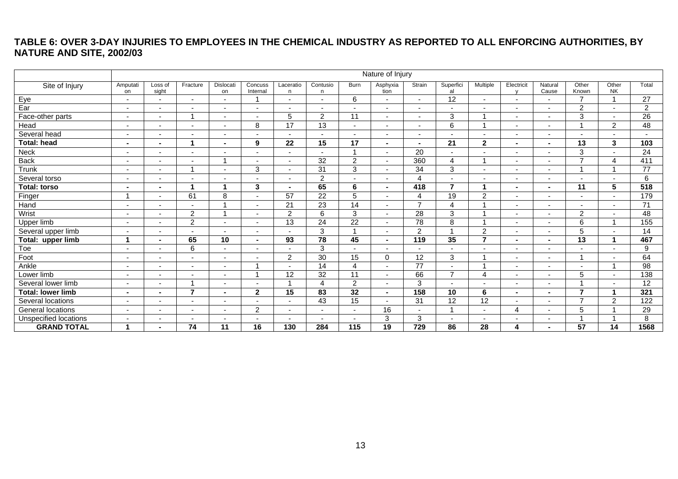# **TABLE 6: OVER 3-DAY INJURIES TO EMPLOYEES IN THE CHEMICAL INDUSTRY AS REPORTED TO ALL ENFORCING AUTHORITIES, BY NATURE AND SITE, 2002/03**

<span id="page-13-0"></span>

|                          | Nature of Injury         |                          |                |                          |                          |                          |                 |                          |                          |                          |                 |                          |                          |                          |                          |                          |                 |
|--------------------------|--------------------------|--------------------------|----------------|--------------------------|--------------------------|--------------------------|-----------------|--------------------------|--------------------------|--------------------------|-----------------|--------------------------|--------------------------|--------------------------|--------------------------|--------------------------|-----------------|
| Site of Injury           | Amputati<br>on           | Loss of<br>sight         | Fracture       | Dislocati<br>on          | Concuss<br>Internal      | Laceratio<br>n.          | Contusio<br>n   | Burn                     | Asphyxia<br>tion         | Strain                   | Superfici<br>al | Multiple                 | Electricit               | Natural<br>Cause         | Other<br>Known           | Other<br><b>NK</b>       | Total           |
| Eye                      | $\overline{\phantom{a}}$ |                          |                | $\overline{\phantom{a}}$ |                          | $\sim$                   |                 | 6                        | $\overline{\phantom{a}}$ |                          | $\overline{12}$ | $\overline{\phantom{0}}$ | $\sim$                   | $\overline{\phantom{0}}$ | $\overline{7}$           | $\overline{ }$           | $\overline{27}$ |
| Ear                      | $\overline{\phantom{a}}$ | $\overline{\phantom{0}}$ |                | $\overline{\phantom{a}}$ |                          | $\overline{\phantom{0}}$ |                 | $\overline{\phantom{a}}$ | $\overline{\phantom{a}}$ | $\sim$                   |                 | $\overline{\phantom{0}}$ | $\overline{a}$           | $\overline{\phantom{0}}$ | $\overline{2}$           | $\blacksquare$           | $\overline{2}$  |
| Face-other parts         | $\sim$                   | $\sim$                   |                | $\sim$                   | $\overline{\phantom{a}}$ | 5                        | 2               | 11                       | $\sim$                   | $\overline{\phantom{a}}$ | 3               | 1                        | $\sim$                   | $\overline{\phantom{0}}$ | 3                        | $\blacksquare$           | $\overline{26}$ |
| Head                     |                          |                          |                |                          | 8                        | 17                       | 13              | $\overline{\phantom{0}}$ |                          |                          | 6               | и                        | $\sim$                   |                          |                          | $\overline{2}$           | 48              |
| Several head             | $\overline{\phantom{0}}$ |                          |                | $\overline{\phantom{a}}$ |                          |                          |                 | $\overline{a}$           |                          |                          |                 | $\overline{\phantom{a}}$ |                          |                          |                          | $\overline{\phantom{a}}$ | $\overline{a}$  |
| Total: head              | $\blacksquare$           | $\blacksquare$           | 1              | $\sim$                   | 9                        | 22                       | 15              | 17                       | $\blacksquare$           | $\blacksquare$           | 21              | $\boldsymbol{2}$         | $\blacksquare$           | $\blacksquare$           | 13                       | 3                        | 103             |
| Neck                     |                          |                          |                |                          |                          |                          |                 |                          |                          | 20                       |                 | $\overline{\phantom{0}}$ | $\overline{\phantom{a}}$ | $\overline{\phantom{0}}$ | 3                        | $\overline{\phantom{a}}$ | 24              |
| <b>Back</b>              | $\overline{\phantom{a}}$ |                          |                |                          | $\overline{\phantom{a}}$ | $\sim$                   | 32              | $\overline{c}$           | $\overline{\phantom{a}}$ | 360                      | $\overline{4}$  | и                        | $\overline{\phantom{a}}$ | $\overline{\phantom{a}}$ | $\overline{ }$           | $\overline{A}$           | 411             |
| Trunk                    | $\blacksquare$           | $\overline{a}$           |                | $\overline{\phantom{a}}$ | 3                        | $\sim$                   | 31              | 3                        | $\blacksquare$           | $\overline{34}$          | 3               | $\overline{\phantom{0}}$ | $\overline{a}$           | $\overline{\phantom{0}}$ |                          | 4                        | $\overline{77}$ |
| Several torso            | $\blacksquare$           | $\overline{\phantom{0}}$ |                | $\overline{\phantom{a}}$ |                          | $\sim$                   | $\overline{2}$  | $\overline{a}$           | $\overline{\phantom{a}}$ | 4                        |                 | $\overline{\phantom{0}}$ | $\overline{\phantom{a}}$ | $\overline{\phantom{0}}$ | $\overline{\phantom{a}}$ | $\blacksquare$           | 6               |
| <b>Total: torso</b>      | $\blacksquare$           | $\blacksquare$           | 1              | 1                        | 3                        | $\blacksquare$           | 65              | 6                        | $\sim$                   | 418                      | $\overline{7}$  | 1                        | $\sim$                   | $\sim$                   | 11                       | 5                        | 518             |
| Finger                   |                          | $\blacksquare$           | 61             | 8                        | $\overline{\phantom{a}}$ | 57                       | $\overline{22}$ | 5                        | $\overline{\phantom{a}}$ | 4                        | 19              | $\overline{c}$           | $\overline{\phantom{a}}$ | $\overline{\phantom{0}}$ | $\overline{\phantom{a}}$ | $\blacksquare$           | 179             |
| Hand                     | $\blacksquare$           | ۰.                       |                |                          | $\sim$                   | 21                       | $\overline{23}$ | 14                       | $\sim$                   | $\overline{ }$           | $\overline{4}$  |                          | $\overline{\phantom{a}}$ | $\overline{\phantom{0}}$ | $\overline{\phantom{0}}$ | $\blacksquare$           | 71              |
| Wrist                    |                          |                          | 2              |                          |                          | $\overline{2}$           | 6               | 3                        | $\overline{\phantom{a}}$ | 28                       | 3               | и                        | $\overline{\phantom{a}}$ | $\overline{\phantom{0}}$ | $\overline{2}$           | $\overline{\phantom{a}}$ | 48              |
| Upper limb               |                          |                          | $\overline{2}$ | $\overline{\phantom{a}}$ |                          | 13                       | $\overline{24}$ | $\overline{22}$          |                          | $\overline{78}$          | 8               | 1                        |                          | $\overline{\phantom{0}}$ | 6                        | 4                        | 155             |
| Several upper limb       | $\overline{\phantom{0}}$ |                          |                | $\overline{\phantom{a}}$ | $\overline{\phantom{0}}$ |                          | 3               |                          | $\overline{\phantom{a}}$ | 2                        | $\overline{ }$  | $\overline{c}$           | $\overline{\phantom{a}}$ | $\overline{\phantom{a}}$ | 5                        | $\overline{\phantom{a}}$ | 14              |
| Total: upper limb        | 1                        | $\sim$                   | 65             | 10                       | $\blacksquare$           | 93                       | $\overline{78}$ | 45                       | $\sim$                   | 119                      | 35              | $\overline{7}$           | $\blacksquare$           | $\blacksquare$           | $\overline{13}$          | 1                        | 467             |
| Toe                      | $\overline{\phantom{0}}$ | ۰.                       | 6              | $\sim$                   | $\overline{\phantom{a}}$ | $\overline{\phantom{0}}$ | 3               | $\overline{a}$           | $\overline{\phantom{a}}$ |                          |                 | $\overline{\phantom{a}}$ | $\overline{\phantom{a}}$ |                          |                          | $\overline{\phantom{a}}$ | 9               |
| Foot                     | $\overline{\phantom{0}}$ |                          |                | $\overline{\phantom{a}}$ | $\overline{\phantom{a}}$ | 2                        | $\overline{30}$ | 15                       | $\Omega$                 | 12                       | 3               | 1                        | $\overline{\phantom{a}}$ | $\overline{\phantom{a}}$ | 1                        | $\overline{\phantom{a}}$ | 64              |
| Ankle                    |                          |                          |                |                          |                          |                          | 14              | 4                        |                          | 77                       |                 | ×,                       |                          |                          |                          |                          | $\overline{98}$ |
| Lower limb               | $\overline{\phantom{0}}$ |                          |                | $\overline{\phantom{a}}$ |                          | 12                       | $\overline{32}$ | 11                       | $\overline{\phantom{a}}$ | 66                       | $\overline{7}$  | $\overline{4}$           |                          |                          | 5                        | $\blacksquare$           | 138             |
| Several lower limb       |                          |                          |                | $\overline{\phantom{a}}$ |                          |                          | 4               | 2                        |                          | 3                        |                 | $\overline{\phantom{a}}$ |                          |                          |                          | $\overline{\phantom{a}}$ | $\overline{12}$ |
| <b>Total: lower limb</b> | $\sim$                   | $\blacksquare$           | $\overline{7}$ | $\blacksquare$           | $\mathbf{2}$             | 15                       | $\overline{83}$ | 32                       | $\sim$                   | 158                      | 10              | 6                        | $\sim$                   | $\sim$                   | $\overline{\phantom{a}}$ | 1                        | 321             |
| Several locations        |                          |                          |                |                          |                          |                          | 43              | 15                       | $\overline{\phantom{a}}$ | 31                       | 12              | $\overline{12}$          |                          | $\overline{\phantom{a}}$ | $\overline{ }$           | $\overline{2}$           | 122             |
| General locations        | $\overline{\phantom{0}}$ |                          |                | $\overline{\phantom{a}}$ | $\overline{c}$           | $\overline{\phantom{a}}$ |                 | $\overline{\phantom{a}}$ | 16                       |                          | 1               | $\overline{\phantom{a}}$ | $\overline{4}$           | $\overline{\phantom{a}}$ | 5                        | 4                        | 29              |
| Unspecified locations    |                          |                          |                | $\overline{\phantom{a}}$ |                          |                          |                 |                          | 3                        | 3                        |                 |                          | $\overline{\phantom{a}}$ | ٠                        | ٠                        | 1                        | 8               |
| <b>GRAND TOTAL</b>       | 1                        |                          | 74             | $\overline{11}$          | 16                       | 130                      | 284             | 115                      | 19                       | 729                      | 86              | 28                       | 4                        |                          | 57                       | 14                       | 1568            |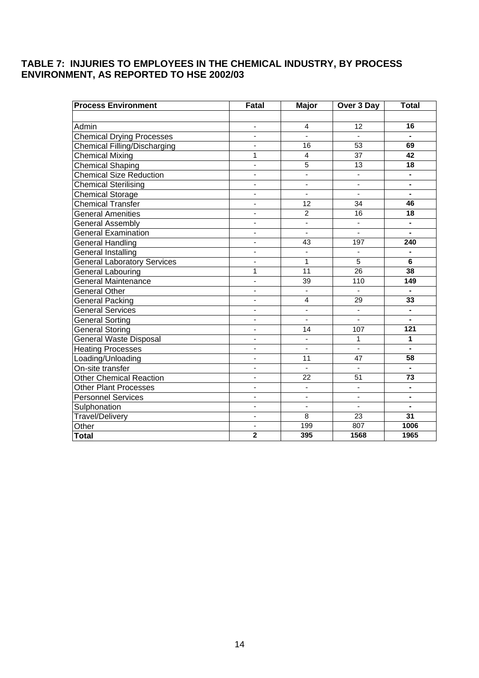# <span id="page-14-0"></span>**TABLE 7: INJURIES TO EMPLOYEES IN THE CHEMICAL INDUSTRY, BY PROCESS ENVIRONMENT, AS REPORTED TO HSE 2002/03**

| <b>Process Environment</b>         | Fatal                    | <b>Major</b>             | Over 3 Day               | <b>Total</b>                 |
|------------------------------------|--------------------------|--------------------------|--------------------------|------------------------------|
|                                    |                          |                          |                          |                              |
| Admin                              | ÷,                       | 4                        | 12                       | 16                           |
| <b>Chemical Drying Processes</b>   | $\blacksquare$           | $\blacksquare$           |                          |                              |
| Chemical Filling/Discharging       | $\blacksquare$           | 16                       | 53                       | 69                           |
| <b>Chemical Mixing</b>             | 1                        | 4                        | 37                       | 42                           |
| <b>Chemical Shaping</b>            | ÷,                       | 5                        | $\overline{13}$          | $\overline{18}$              |
| <b>Chemical Size Reduction</b>     | $\blacksquare$           | $\blacksquare$           | $\overline{\phantom{a}}$ | $\blacksquare$               |
| <b>Chemical Sterilising</b>        | ÷,                       | $\blacksquare$           | $\blacksquare$           | ä,                           |
| <b>Chemical Storage</b>            | ÷,                       | $\overline{\phantom{a}}$ | $\blacksquare$           | ä,                           |
| <b>Chemical Transfer</b>           | $\blacksquare$           | $\overline{12}$          | $\overline{34}$          | 46                           |
| <b>General Amenities</b>           | $\blacksquare$           | $\overline{2}$           | $\overline{16}$          | 18                           |
| General Assembly                   | $\blacksquare$           | $\overline{a}$           | $\overline{\phantom{a}}$ |                              |
| <b>General Examination</b>         | ÷,                       | $\overline{a}$           | $\blacksquare$           |                              |
| <b>General Handling</b>            | $\blacksquare$           | 43                       | 197                      | 240                          |
| General Installing                 | ä,                       | ä,                       | $\blacksquare$           |                              |
| <b>General Laboratory Services</b> |                          | 1                        | $\overline{5}$           | 6                            |
| <b>General Labouring</b>           | 1                        | $\overline{11}$          | $\overline{26}$          | 38                           |
| <b>General Maintenance</b>         | $\overline{\phantom{a}}$ | 39                       | 110                      | 149                          |
| <b>General Other</b>               | $\blacksquare$           | ÷,                       |                          |                              |
| General Packing                    | $\overline{\phantom{a}}$ | $\overline{4}$           | 29                       | 33                           |
| <b>General Services</b>            | $\overline{a}$           | L,                       | $\blacksquare$           | $\blacksquare$               |
| <b>General Sorting</b>             | $\blacksquare$           | $\blacksquare$           | $\blacksquare$           | $\blacksquare$               |
| <b>General Storing</b>             | ÷,                       | 14                       | 107                      | 121                          |
| <b>General Waste Disposal</b>      | $\overline{\phantom{a}}$ | $\overline{\phantom{a}}$ | $\mathbf{1}$             | 1                            |
| <b>Heating Processes</b>           | $\overline{a}$           | $\overline{a}$           | L.                       | $\overline{a}$               |
| Loading/Unloading                  | ÷,                       | 11                       | 47                       | 58                           |
| On-site transfer                   | ä,                       | L.                       |                          |                              |
| <b>Other Chemical Reaction</b>     | $\blacksquare$           | 22                       | 51                       | 73                           |
| <b>Other Plant Processes</b>       |                          | $\blacksquare$           | $\blacksquare$           |                              |
| <b>Personnel Services</b>          | $\blacksquare$           | $\overline{\phantom{0}}$ | $\overline{\phantom{a}}$ | $\qquad \qquad \blacksquare$ |
| Sulphonation                       | ÷,                       | ÷,                       | $\blacksquare$           | $\blacksquare$               |
| <b>Travel/Delivery</b>             | $\blacksquare$           | $\overline{8}$           | $\overline{2}3$          | $\overline{31}$              |
| Other                              | $\overline{\phantom{a}}$ | 199                      | 807                      | 1006                         |
| <b>Total</b>                       | $\overline{2}$           | 395                      | 1568                     | 1965                         |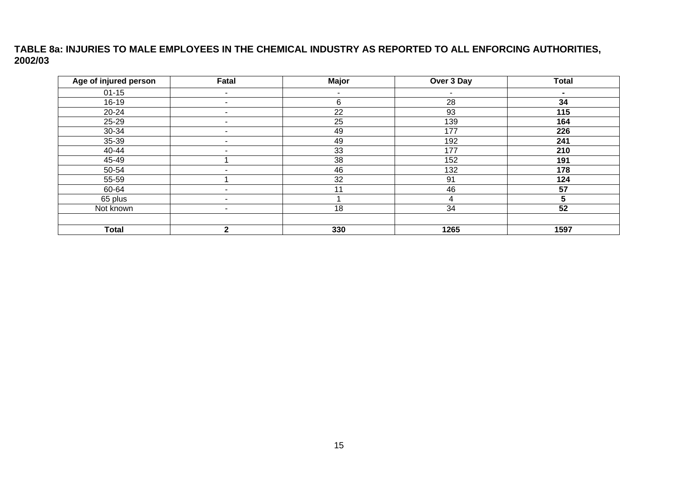# **TABLE 8a: INJURIES TO MALE EMPLOYEES IN THE CHEMICAL INDUSTRY AS REPORTED TO ALL ENFORCING AUTHORITIES, 2002/03**

<span id="page-15-0"></span>

| Age of injured person | Fatal                    | Major  | Over 3 Day | <b>Total</b>   |
|-----------------------|--------------------------|--------|------------|----------------|
| $01 - 15$             | $\sim$                   | $\sim$ | $\sim$     | $\blacksquare$ |
| 16-19                 | $\overline{\phantom{a}}$ | 6      | 28         | 34             |
| 20-24                 | ۰                        | 22     | 93         | 115            |
| 25-29                 | $\sim$                   | 25     | 139        | 164            |
| 30-34                 | ٠                        | 49     | 177        | 226            |
| 35-39                 | ٠                        | 49     | 192        | 241            |
| 40-44                 | ۰                        | 33     | 177        | 210            |
| 45-49                 |                          | 38     | 152        | 191            |
| 50-54                 | ٠                        | 46     | 132        | 178            |
| 55-59                 |                          | 32     | 91         | 124            |
| 60-64                 | ٠                        | 11     | 46         | 57             |
| 65 plus               | -                        |        | 4          | 7              |
| Not known             | $\sim$                   | 18     | 34         | 52             |
|                       |                          |        |            |                |
| <b>Total</b>          | $\mathbf{c}$             | 330    | 1265       | 1597           |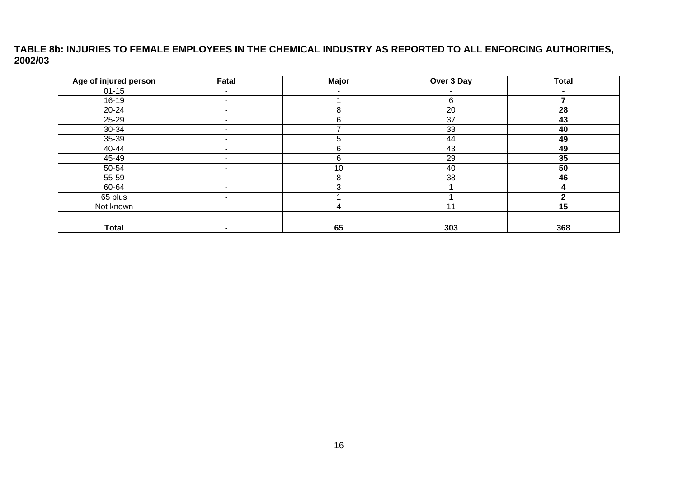# **TABLE 8b: INJURIES TO FEMALE EMPLOYEES IN THE CHEMICAL INDUSTRY AS REPORTED TO ALL ENFORCING AUTHORITIES, 2002/03**

<span id="page-16-0"></span>

| Age of injured person | Fatal                    | <b>Major</b> | Over 3 Day               | <b>Total</b> |
|-----------------------|--------------------------|--------------|--------------------------|--------------|
| $01 - 15$             | ۰                        | -            | $\overline{\phantom{a}}$ |              |
| $16-19$               | ٠                        |              | 6                        |              |
| 20-24                 | ٠                        | 8            | 20                       | 28           |
| 25-29                 |                          | 6            | 37                       | 43           |
| 30-34                 | -                        |              | 33                       | 40           |
| 35-39                 | ٠                        | 5            | 44                       | 49           |
| 40-44                 | -                        | 6            | 43                       | 49           |
| 45-49                 | ٠                        | 6            | 29                       | 35           |
| 50-54                 | ۰                        | 10           | 40                       | 50           |
| 55-59                 | ٠                        | 8            | 38                       | 46           |
| 60-64                 |                          |              |                          |              |
| 65 plus               | $\overline{\phantom{0}}$ |              |                          | ◠            |
| Not known             | ۰.                       | 4            | 11                       | 15           |
|                       |                          |              |                          |              |
| <b>Total</b>          | $\blacksquare$           | 65           | 303                      | 368          |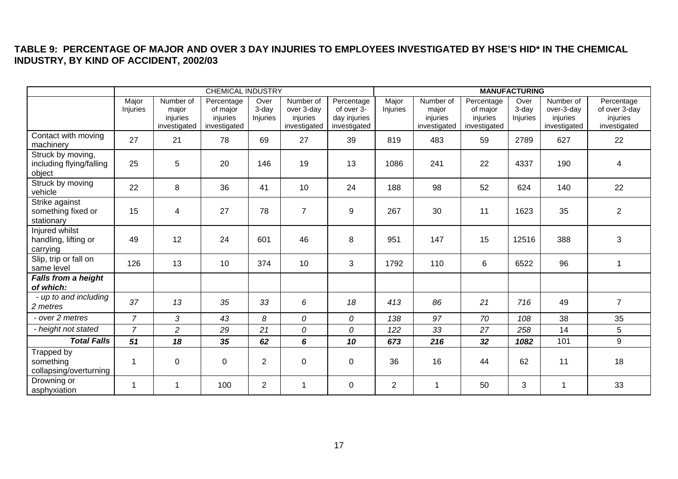# **TABLE 9: PERCENTAGE OF MAJOR AND OVER 3 DAY INJURIES TO EMPLOYEES INVESTIGATED BY HSE'S HID\* IN THE CHEMICAL INDUSTRY, BY KIND OF ACCIDENT, 2002/03**

<span id="page-17-0"></span>

|                                                         | <b>CHEMICAL INDUSTRY</b> |                                                |                                                    |                           |                                                     |                                                          | <b>MANUFACTURING</b> |                                                |                                                    |                              |                                                     |                                                         |
|---------------------------------------------------------|--------------------------|------------------------------------------------|----------------------------------------------------|---------------------------|-----------------------------------------------------|----------------------------------------------------------|----------------------|------------------------------------------------|----------------------------------------------------|------------------------------|-----------------------------------------------------|---------------------------------------------------------|
|                                                         | Major<br>Injuries        | Number of<br>major<br>injuries<br>investigated | Percentage<br>of major<br>injuries<br>investigated | Over<br>3-day<br>Injuries | Number of<br>over 3-day<br>injuries<br>investigated | Percentage<br>of over 3-<br>day injuries<br>investigated | Major<br>Injuries    | Number of<br>major<br>injuries<br>investigated | Percentage<br>of major<br>injuries<br>investigated | Over<br>$3$ -day<br>Injuries | Number of<br>over-3-day<br>injuries<br>investigated | Percentage<br>of over 3-day<br>injuries<br>investigated |
| Contact with moving<br>machinery                        | 27                       | 21                                             | 78                                                 | 69                        | 27                                                  | 39                                                       | 819                  | 483                                            | 59                                                 | 2789                         | 627                                                 | 22                                                      |
| Struck by moving,<br>including flying/falling<br>object | 25                       | 5                                              | 20                                                 | 146                       | 19                                                  | 13                                                       | 1086                 | 241                                            | 22                                                 | 4337                         | 190                                                 | $\overline{4}$                                          |
| Struck by moving<br>vehicle                             | 22                       | 8                                              | 36                                                 | 41                        | 10                                                  | 24                                                       | 188                  | 98                                             | 52                                                 | 624                          | 140                                                 | 22                                                      |
| Strike against<br>something fixed or<br>stationary      | 15                       | 4                                              | 27                                                 | 78                        | $\overline{7}$                                      | 9                                                        | 267                  | 30                                             | 11                                                 | 1623                         | 35                                                  | 2                                                       |
| Injured whilst<br>handling, lifting or<br>carrying      | 49                       | 12                                             | 24                                                 | 601                       | 46                                                  | 8                                                        | 951                  | 147                                            | 15                                                 | 12516                        | 388                                                 | 3                                                       |
| Slip, trip or fall on<br>same level                     | 126                      | 13                                             | 10                                                 | 374                       | 10                                                  | 3                                                        | 1792                 | 110                                            | 6                                                  | 6522                         | 96                                                  | 1                                                       |
| Falls from a height<br>of which:                        |                          |                                                |                                                    |                           |                                                     |                                                          |                      |                                                |                                                    |                              |                                                     |                                                         |
| - up to and including<br>2 metres                       | 37                       | 13                                             | 35                                                 | 33                        | 6                                                   | 18                                                       | 413                  | 86                                             | 21                                                 | 716                          | 49                                                  | $\overline{7}$                                          |
| - over 2 metres                                         | $\overline{7}$           | 3                                              | 43                                                 | 8                         | 0                                                   | 0                                                        | 138                  | 97                                             | 70                                                 | 108                          | 38                                                  | 35                                                      |
| - height not stated                                     | $\overline{7}$           | $\overline{c}$                                 | 29                                                 | 21                        | 0                                                   | 0                                                        | 122                  | 33                                             | 27                                                 | 258                          | 14                                                  | 5                                                       |
| <b>Total Falls</b>                                      | 51                       | 18                                             | 35                                                 | 62                        | 6                                                   | 10                                                       | 673                  | 216                                            | 32                                                 | 1082                         | 101                                                 | 9                                                       |
| Trapped by<br>something<br>collapsing/overturning       |                          | 0                                              | $\mathbf 0$                                        | $\overline{2}$            | $\mathbf 0$                                         | $\Omega$                                                 | 36                   | 16                                             | 44                                                 | 62                           | 11                                                  | 18                                                      |
| Drowning or<br>asphyxiation                             |                          | -1                                             | 100                                                | $\overline{2}$            | 1                                                   | $\mathbf 0$                                              | $\overline{2}$       | 1                                              | 50                                                 | 3                            | 1                                                   | 33                                                      |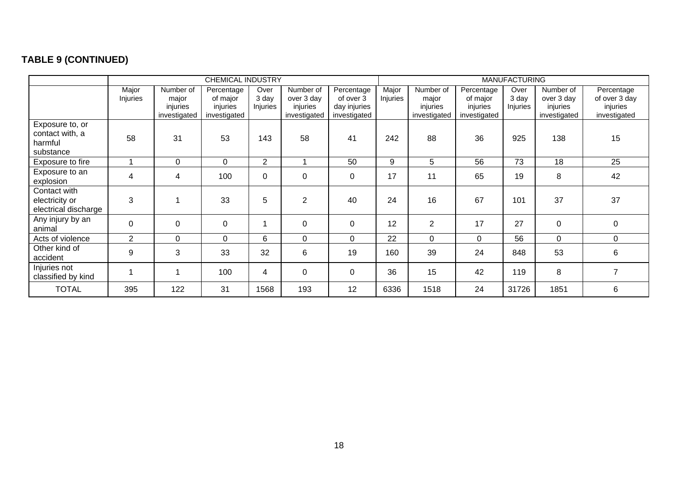# **TABLE 9 (CONTINUED)**

<span id="page-18-0"></span>

|                                                            | CHEMICAL INDUSTRY |                                                |                                                    |                           |                                                     |                                                         |                   | <b>MANUFACTURING</b>                           |                                                    |                           |                                                     |                                                         |  |
|------------------------------------------------------------|-------------------|------------------------------------------------|----------------------------------------------------|---------------------------|-----------------------------------------------------|---------------------------------------------------------|-------------------|------------------------------------------------|----------------------------------------------------|---------------------------|-----------------------------------------------------|---------------------------------------------------------|--|
|                                                            | Major<br>Injuries | Number of<br>major<br>injuries<br>investigated | Percentage<br>of major<br>injuries<br>investigated | Over<br>3 day<br>Injuries | Number of<br>over 3 day<br>injuries<br>investigated | Percentage<br>of over 3<br>day injuries<br>investigated | Major<br>Injuries | Number of<br>major<br>injuries<br>investigated | Percentage<br>of major<br>injuries<br>investigated | Over<br>3 day<br>Injuries | Number of<br>over 3 day<br>injuries<br>investigated | Percentage<br>of over 3 day<br>injuries<br>investigated |  |
| Exposure to, or<br>contact with, a<br>harmful<br>substance | 58                | 31                                             | 53                                                 | 143                       | 58                                                  | 41                                                      | 242               | 88                                             | 36                                                 | 925                       | 138                                                 | 15                                                      |  |
| Exposure to fire                                           |                   | 0                                              | $\mathbf 0$                                        | $\overline{2}$            | 1                                                   | 50                                                      | 9                 | 5                                              | 56                                                 | 73                        | 18                                                  | 25                                                      |  |
| Exposure to an<br>explosion                                | 4                 | 4                                              | 100                                                | $\mathbf 0$               | $\mathbf 0$                                         | 0                                                       | 17                | 11                                             | 65                                                 | 19                        | 8                                                   | 42                                                      |  |
| Contact with<br>electricity or<br>electrical discharge     | 3                 |                                                | 33                                                 | 5                         | $\overline{2}$                                      | 40                                                      | 24                | 16                                             | 67                                                 | 101                       | 37                                                  | 37                                                      |  |
| Any injury by an<br>animal                                 | $\boldsymbol{0}$  | 0                                              | $\mathbf 0$                                        |                           | $\mathbf 0$                                         | 0                                                       | 12                | $\overline{2}$                                 | 17                                                 | 27                        | $\mathbf 0$                                         | 0                                                       |  |
| Acts of violence                                           | 2                 | $\Omega$                                       | $\Omega$                                           | 6                         | 0                                                   | $\Omega$                                                | 22                | $\mathbf{0}$                                   | $\Omega$                                           | 56                        | $\Omega$                                            | $\Omega$                                                |  |
| Other kind of<br>accident                                  | 9                 | 3                                              | 33                                                 | 32                        | 6                                                   | 19                                                      | 160               | 39                                             | 24                                                 | 848                       | 53                                                  | 6                                                       |  |
| Injuries not<br>classified by kind                         |                   |                                                | 100                                                | 4                         | $\mathbf 0$                                         | 0                                                       | 36                | 15                                             | 42                                                 | 119                       | 8                                                   | $\overline{7}$                                          |  |
| <b>TOTAL</b>                                               | 395               | 122                                            | 31                                                 | 1568                      | 193                                                 | 12                                                      | 6336              | 1518                                           | 24                                                 | 31726                     | 1851                                                | 6                                                       |  |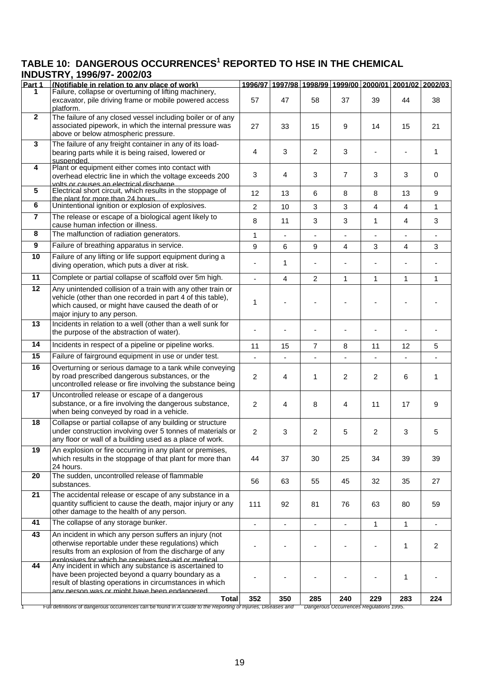# <span id="page-19-0"></span>TABLE 10: DANGEROUS OCCURRENCES<sup>1</sup> REPORTED TO HSE IN THE CHEMICAL **INDUSTRY, 1996/97- 2002/03**

|                 | 1110001111,1 <i>330131</i> - 2002/03                                                                                                                                                                                              |                |                |                |                |                |                                                         |              |
|-----------------|-----------------------------------------------------------------------------------------------------------------------------------------------------------------------------------------------------------------------------------|----------------|----------------|----------------|----------------|----------------|---------------------------------------------------------|--------------|
| Part 1          | (Notifiable in relation to any place of work)                                                                                                                                                                                     |                |                |                |                |                | 1996/97 1997/98 1998/99 1999/00 2000/01 2001/02 2002/03 |              |
| 1.              | Failure, collapse or overturning of lifting machinery,<br>excavator, pile driving frame or mobile powered access<br>platform.                                                                                                     | 57             | 47             | 58             | 37             | 39             | 44                                                      | 38           |
| $\overline{2}$  | The failure of any closed vessel including boiler or of any                                                                                                                                                                       |                |                |                |                |                |                                                         |              |
|                 | associated pipework, in which the internal pressure was<br>above or below atmospheric pressure.                                                                                                                                   | 27             | 33             | 15             | 9              | 14             | 15                                                      | 21           |
| 3               | The failure of any freight container in any of its load-                                                                                                                                                                          |                |                |                |                |                |                                                         |              |
|                 | bearing parts while it is being raised, lowered or<br>suspended.                                                                                                                                                                  | 4              | 3              | $\overline{2}$ | 3              |                |                                                         | 1            |
| 4               | Plant or equipment either comes into contact with<br>overhead electric line in which the voltage exceeds 200<br><u>volts or causes an electrical discharge</u>                                                                    | 3              | 4              | 3              | $\overline{7}$ | 3              | 3                                                       | 0            |
| 5               | Electrical short circuit, which results in the stoppage of<br>the plant for more than 24 hours.                                                                                                                                   | 12             | 13             | 6              | 8              | 8              | 13                                                      | 9            |
| 6               | Unintentional ignition or explosion of explosives.                                                                                                                                                                                | $\overline{2}$ | 10             | 3              | 3              | $\overline{4}$ | $\overline{4}$                                          | $\mathbf{1}$ |
| $\overline{7}$  | The release or escape of a biological agent likely to<br>cause human infection or illness.                                                                                                                                        | 8              | 11             | 3              | 3              | $\mathbf{1}$   | 4                                                       | 3            |
| 8               | The malfunction of radiation generators.                                                                                                                                                                                          | $\mathbf{1}$   |                | ä,             |                |                |                                                         |              |
| 9               | Failure of breathing apparatus in service.                                                                                                                                                                                        | 9              | 6              | 9              | 4              | 3              | 4                                                       | 3            |
| 10              | Failure of any lifting or life support equipment during a<br>diving operation, which puts a diver at risk.                                                                                                                        |                | 1              |                |                | $\blacksquare$ |                                                         |              |
| 11              | Complete or partial collapse of scaffold over 5m high.                                                                                                                                                                            | ÷,             | $\overline{4}$ | $\overline{2}$ | $\mathbf{1}$   | $\mathbf{1}$   | $\mathbf{1}$                                            | 1            |
| 12              | Any unintended collision of a train with any other train or<br>vehicle (other than one recorded in part 4 of this table),<br>which caused, or might have caused the death of or<br>major injury to any person.                    | 1              |                |                |                |                |                                                         |              |
| 13              | Incidents in relation to a well (other than a well sunk for<br>the purpose of the abstraction of water).                                                                                                                          |                |                |                |                |                |                                                         |              |
| 14              | Incidents in respect of a pipeline or pipeline works.                                                                                                                                                                             | 11             | 15             | $\overline{7}$ | 8              | 11             | 12                                                      | 5            |
| 15              | Failure of fairground equipment in use or under test.                                                                                                                                                                             |                |                |                |                |                |                                                         |              |
| 16              | Overturning or serious damage to a tank while conveying<br>by road prescribed dangerous substances, or the<br>uncontrolled release or fire involving the substance being                                                          | 2              | 4              | 1              | 2              | $\overline{2}$ | 6                                                       | 1            |
| 17              | Uncontrolled release or escape of a dangerous<br>substance, or a fire involving the dangerous substance,<br>when being conveyed by road in a vehicle.                                                                             | 2              | $\overline{4}$ | 8              | $\overline{4}$ | 11             | 17                                                      | 9            |
| $\overline{18}$ | Collapse or partial collapse of any building or structure<br>under construction involving over 5 tonnes of materials or<br>any floor or wall of a building used as a place of work.                                               | $\overline{c}$ | 3              | 2              | 5              | $\overline{c}$ | 3                                                       | 5            |
| 19              | An explosion or fire occurring in any plant or premises,<br>which results in the stoppage of that plant for more than<br>24 hours.                                                                                                | 44             | 37             | 30             | 25             | 34             | 39                                                      | 39           |
| 20              | The sudden, uncontrolled release of flammable<br>substances.                                                                                                                                                                      | 56             | 63             | 55             | 45             | 32             | 35                                                      | 27           |
| 21              | The accidental release or escape of any substance in a<br>quantity sufficient to cause the death, major injury or any<br>other damage to the health of any person.                                                                | 111            | 92             | 81             | 76             | 63             | 80                                                      | 59           |
| 41              | The collapse of any storage bunker.                                                                                                                                                                                               | ÷,             | $\blacksquare$ | ä,             | ÷.             | $\mathbf{1}$   | 1                                                       |              |
| 43              | An incident in which any person suffers an injury (not<br>otherwise reportable under these regulations) which<br>results from an explosion of from the discharge of any<br>explosives for which he receives first-aid or medical  |                |                |                |                |                | 1                                                       | 2            |
| 44              | Any incident in which any substance is ascertained to<br>have been projected beyond a quarry boundary as a<br>result of blasting operations in circumstances in which<br><u>Annonchon was a minhthave hean andannared san une</u> |                |                |                |                |                | 1                                                       |              |
|                 | Total                                                                                                                                                                                                                             | 352            | 350            | 285            | 240            | 229            | 283                                                     | 224          |

1 Full definitions of dangerous occurrences can be found in *A Guide to the Reporting of Injuries, Diseases and Dangerous Occurrences Regulations 1995*.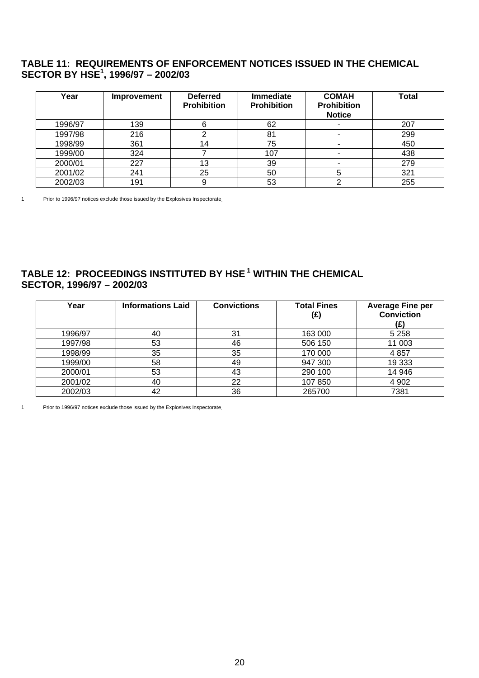# <span id="page-20-0"></span>**TABLE 11: REQUIREMENTS OF ENFORCEMENT NOTICES ISSUED IN THE CHEMICAL SECTOR BY HSE1 , 1996/97 – 2002/03**

| Year    | Improvement | <b>Deferred</b><br><b>Prohibition</b> | <b>Immediate</b><br><b>Prohibition</b> | <b>COMAH</b><br><b>Prohibition</b><br><b>Notice</b> | <b>Total</b> |
|---------|-------------|---------------------------------------|----------------------------------------|-----------------------------------------------------|--------------|
| 1996/97 | 139         | 6                                     | 62                                     | ۰                                                   | 207          |
| 1997/98 | 216         |                                       | 81                                     | ۰                                                   | 299          |
| 1998/99 | 361         | 14                                    | 75                                     | -                                                   | 450          |
| 1999/00 | 324         |                                       | 107                                    | $\overline{\phantom{a}}$                            | 438          |
| 2000/01 | 227         | 13                                    | 39                                     |                                                     | 279          |
| 2001/02 | 241         | 25                                    | 50                                     |                                                     | 321          |
| 2002/03 | 191         | 9                                     | 53                                     |                                                     | 255          |

1 Prior to 1996/97 notices exclude those issued by the Explosives Inspectorate.

# **TABLE 12: PROCEEDINGS INSTITUTED BY HSE 1 WITHIN THE CHEMICAL SECTOR, 1996/97 – 2002/03**

| Year    | <b>Informations Laid</b> | <b>Convictions</b> | <b>Total Fines</b><br>(£) | <b>Average Fine per</b><br><b>Conviction</b><br>(£) |
|---------|--------------------------|--------------------|---------------------------|-----------------------------------------------------|
| 1996/97 | 40                       | 31                 | 163 000                   | 5 2 5 8                                             |
| 1997/98 | 53                       | 46                 | 506 150                   | 11 003                                              |
| 1998/99 | 35                       | 35                 | 170 000                   | 4 8 5 7                                             |
| 1999/00 | 58                       | 49                 | 947 300                   | 19 3 33                                             |
| 2000/01 | 53                       | 43                 | 290 100                   | 14 946                                              |
| 2001/02 | 40                       | 22                 | 107 850                   | 4 9 0 2                                             |
| 2002/03 | 42                       | 36                 | 265700                    | 7381                                                |

1 Prior to 1996/97 notices exclude those issued by the Explosives Inspectorate.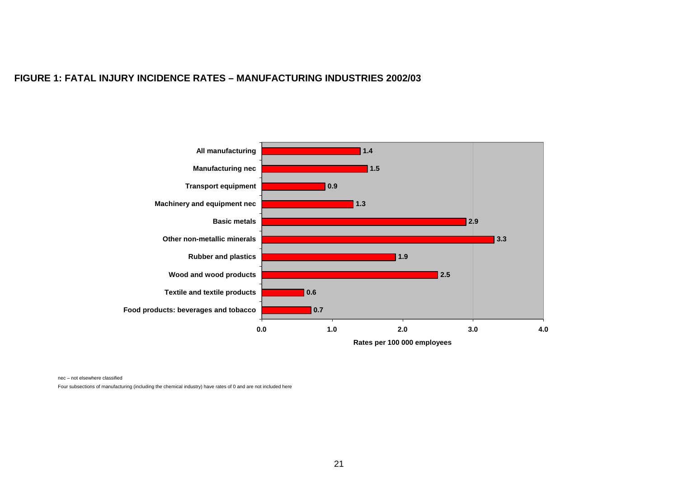#### **FIGURE 1: FATAL INJURY INCIDENCE RATES – MANUFACTURING INDUSTRIES 2002/03**



nec – not elsewhere classified

<span id="page-21-0"></span>Four subsections of manufacturing (including the chemical industry) have rates of 0 and are not included here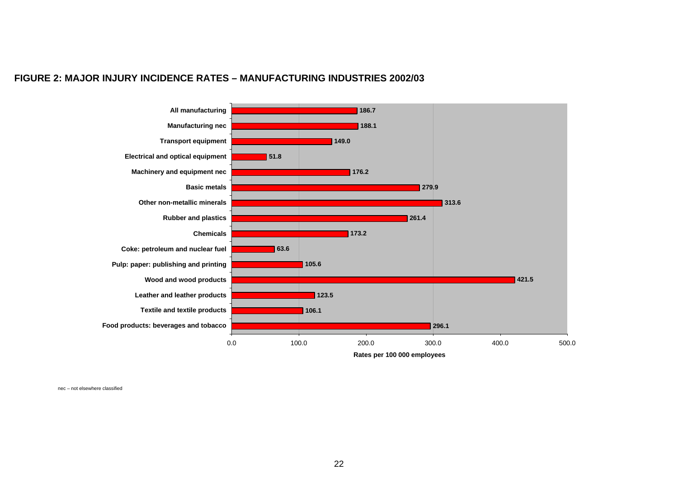#### **FIGURE 2: MAJOR INJURY INCIDENCE RATES – MANUFACTURING INDUSTRIES 2002/03**



<span id="page-22-0"></span>nec – not elsewhere classified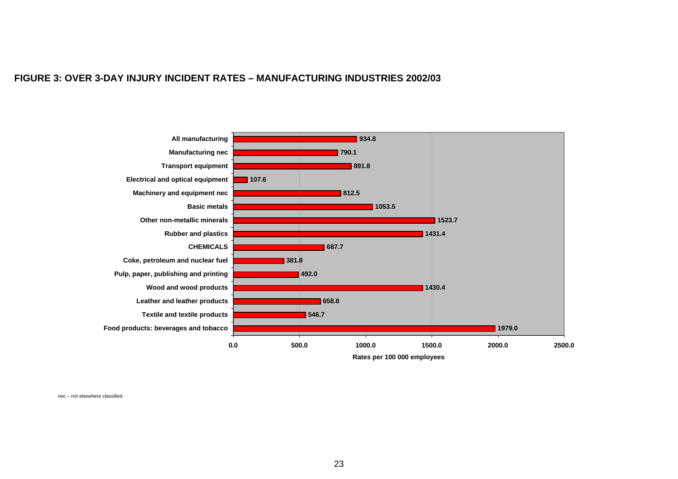#### **FIGURE 3: OVER 3-DAY INJURY INCIDENT RATES – MANUFACTURING INDUSTRIES 2002/03**



**Rates per 100 000 employees**

<span id="page-23-0"></span>nec – not elsewhere classified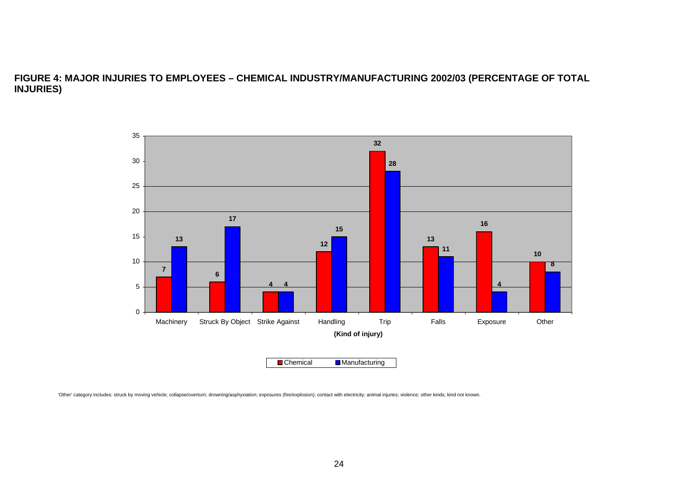### **FIGURE 4: MAJOR INJURIES TO EMPLOYEES – CHEMICAL INDUSTRY/MANUFACTURING 2002/03 (PERCENTAGE OF TOTAL INJURIES)**



<span id="page-24-0"></span>'Other' category includes: struck by moving vehicle; collapse/overturn; drowning/asphyxiation; exposures (fire/explosion); contact with electricity; animal injuries; violence; other kinds; kind not known.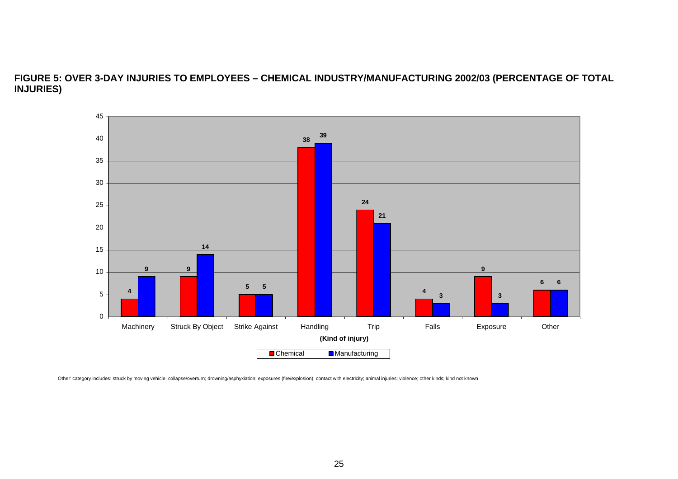# **FIGURE 5: OVER 3-DAY INJURIES TO EMPLOYEES – CHEMICAL INDUSTRY/MANUFACTURING 2002/03 (PERCENTAGE OF TOTAL INJURIES)**



<span id="page-25-0"></span>Other' category includes: struck by moving vehicle; collapse/overturn; drowning/asphyxiation; exposures (fire/explosion); contact with electricity; animal injuries; violence; other kinds; kind not known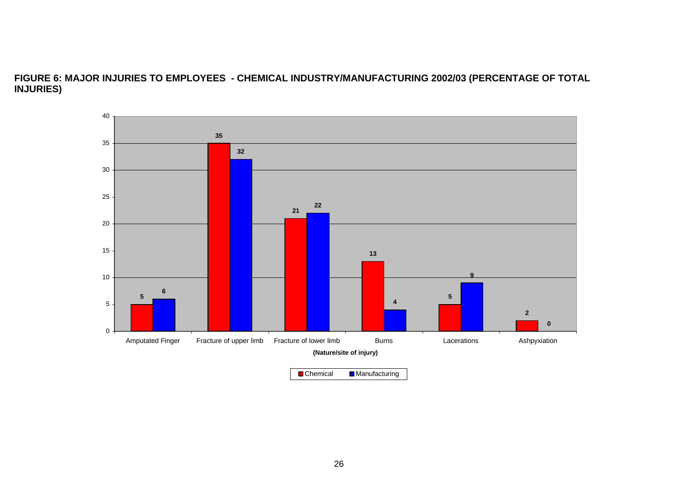# **FIGURE 6: MAJOR INJURIES TO EMPLOYEES - CHEMICAL INDUSTRY/MANUFACTURING 2002/03 (PERCENTAGE OF TOTAL INJURIES)**

<span id="page-26-0"></span>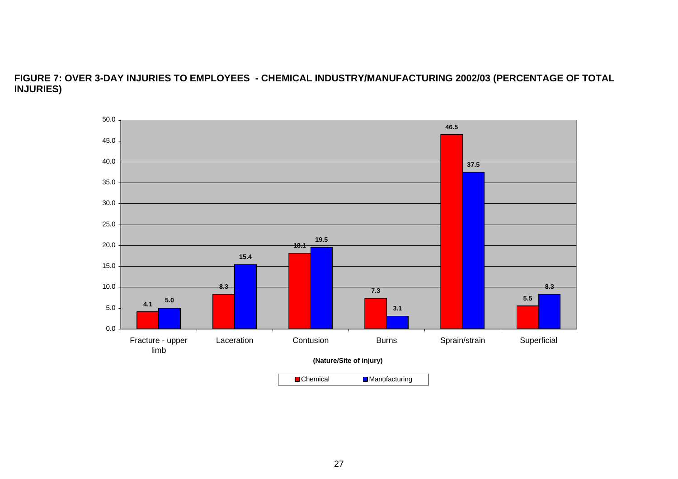# **FIGURE 7: OVER 3-DAY INJURIES TO EMPLOYEES - CHEMICAL INDUSTRY/MANUFACTURING 2002/03 (PERCENTAGE OF TOTAL INJURIES)**

<span id="page-27-0"></span>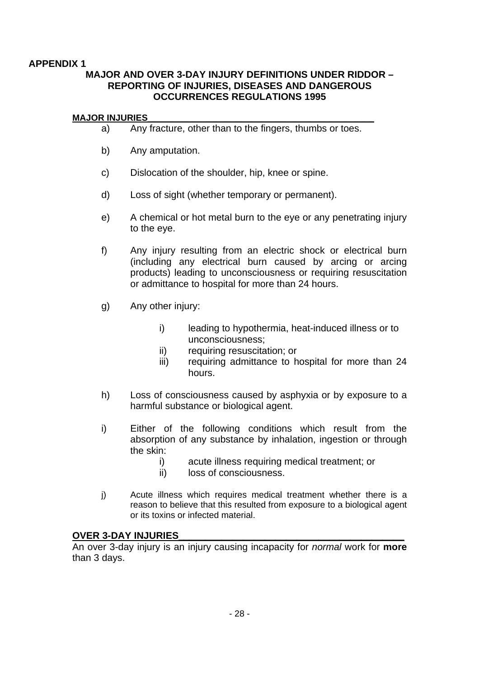# <span id="page-28-0"></span>**APPENDIX 1**

# **MAJOR AND OVER 3-DAY INJURY DEFINITIONS UNDER RIDDOR – REPORTING OF INJURIES, DISEASES AND DANGEROUS OCCURRENCES REGULATIONS 1995**

### **MAJOR INJURIES\_\_\_\_\_\_\_\_\_\_\_\_\_\_\_\_\_\_\_\_\_\_\_\_\_\_\_\_\_\_\_\_\_\_\_\_\_\_\_\_\_\_\_\_\_\_**

- a) Any fracture, other than to the fingers, thumbs or toes.
- b) Any amputation.
- c) Dislocation of the shoulder, hip, knee or spine.
- d) Loss of sight (whether temporary or permanent).
- e) A chemical or hot metal burn to the eye or any penetrating injury to the eye.
- f) Any injury resulting from an electric shock or electrical burn (including any electrical burn caused by arcing or arcing products) leading to unconsciousness or requiring resuscitation or admittance to hospital for more than 24 hours.
- g) Any other injury:
	- i) leading to hypothermia, heat-induced illness or to unconsciousness;
	- ii) requiring resuscitation; or
	- iii) requiring admittance to hospital for more than 24 hours.
- h) Loss of consciousness caused by asphyxia or by exposure to a harmful substance or biological agent.
- i) Either of the following conditions which result from the absorption of any substance by inhalation, ingestion or through the skin:
	- i) acute illness requiring medical treatment; or
	- ii) loss of consciousness.
- j) Acute illness which requires medical treatment whether there is a reason to believe that this resulted from exposure to a biological agent or its toxins or infected material.

# **OVER 3-DAY INJURIES\_\_\_\_\_\_\_\_\_\_\_\_\_\_\_\_\_\_\_\_\_\_\_\_\_\_\_\_\_\_\_\_\_\_\_\_\_\_\_\_\_\_**

An over 3-day injury is an injury causing incapacity for *normal* work for **more**  than 3 days.